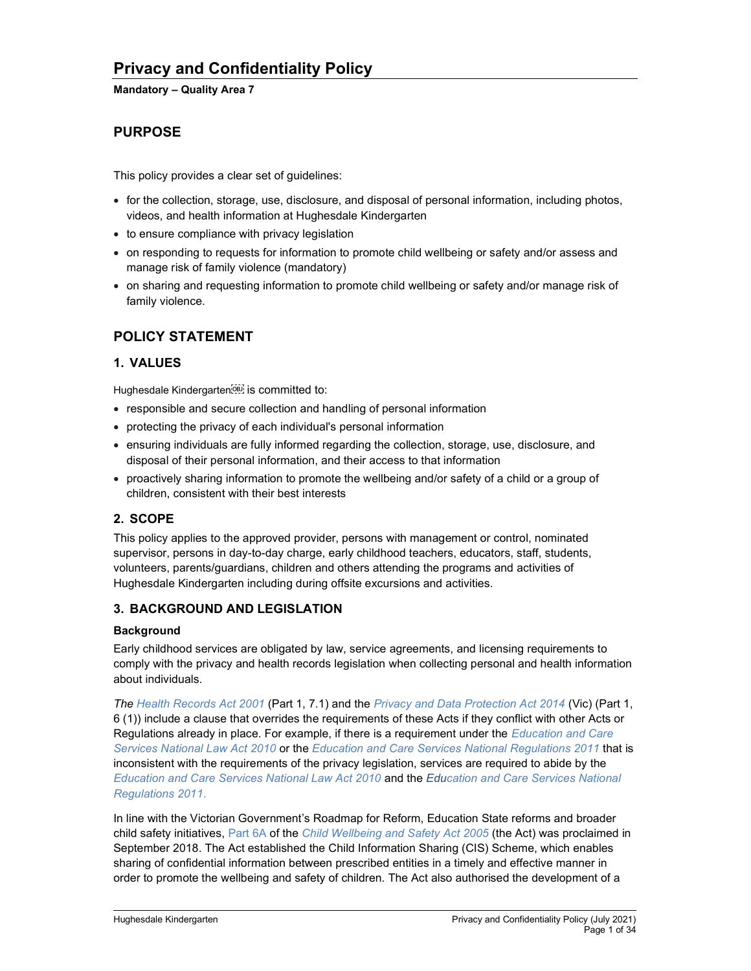### Mandatory – Quality Area 7

# PURPOSE

This policy provides a clear set of guidelines:

- for the collection, storage, use, disclosure, and disposal of personal information, including photos, videos, and health information at Hughesdale Kindergarten
- to ensure compliance with privacy legislation
- on responding to requests for information to promote child wellbeing or safety and/or assess and manage risk of family violence (mandatory)
- on sharing and requesting information to promote child wellbeing or safety and/or manage risk of family violence.

## POLICY STATEMENT

## 1. VALUES

Hughesdale Kindergarten<sup>[06]</sup> is committed to:

- responsible and secure collection and handling of personal information
- protecting the privacy of each individual's personal information
- ensuring individuals are fully informed regarding the collection, storage, use, disclosure, and disposal of their personal information, and their access to that information
- proactively sharing information to promote the wellbeing and/or safety of a child or a group of children, consistent with their best interests

## 2. SCOPE

This policy applies to the approved provider, persons with management or control, nominated supervisor, persons in day-to-day charge, early childhood teachers, educators, staff, students, volunteers, parents/guardians, children and others attending the programs and activities of Hughesdale Kindergarten including during offsite excursions and activities.

## 3. BACKGROUND AND LEGISLATION

### **Background**

Early childhood services are obligated by law, service agreements, and licensing requirements to comply with the privacy and health records legislation when collecting personal and health information about individuals.

The Health Records Act 2001 (Part 1, 7.1) and the Privacy and Data Protection Act 2014 (Vic) (Part 1, 6 (1)) include a clause that overrides the requirements of these Acts if they conflict with other Acts or Regulations already in place. For example, if there is a requirement under the Education and Care Services National Law Act 2010 or the Education and Care Services National Regulations 2011 that is inconsistent with the requirements of the privacy legislation, services are required to abide by the Education and Care Services National Law Act 2010 and the Education and Care Services National Regulations 2011.

In line with the Victorian Government's Roadmap for Reform, Education State reforms and broader child safety initiatives, Part 6A of the Child Wellbeing and Safety Act 2005 (the Act) was proclaimed in September 2018. The Act established the Child Information Sharing (CIS) Scheme, which enables sharing of confidential information between prescribed entities in a timely and effective manner in order to promote the wellbeing and safety of children. The Act also authorised the development of a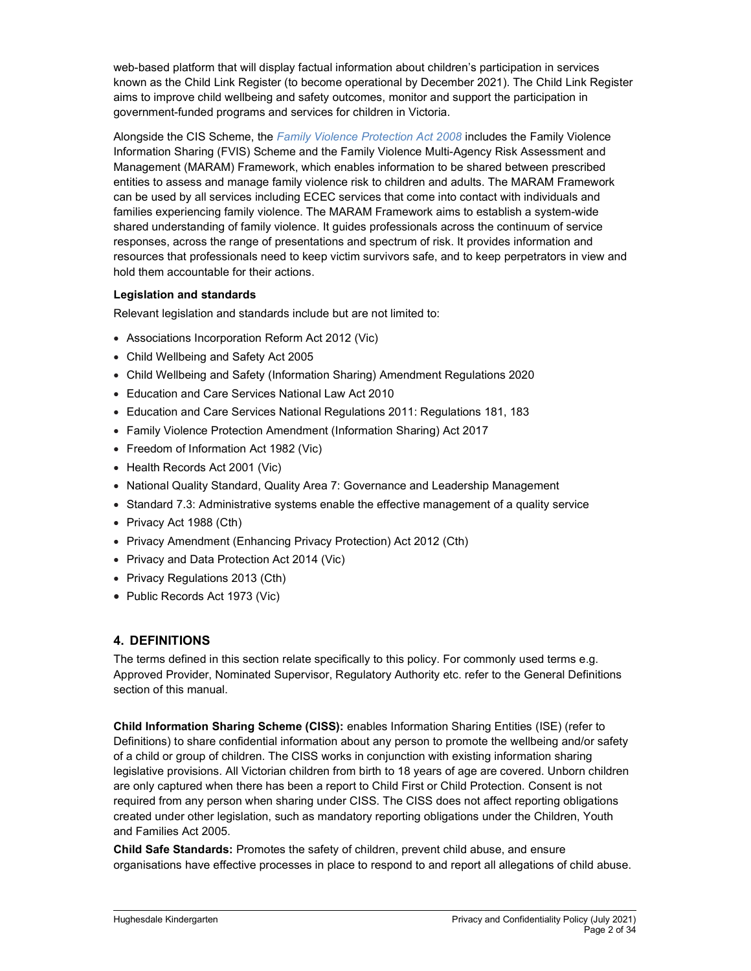web-based platform that will display factual information about children's participation in services known as the Child Link Register (to become operational by December 2021). The Child Link Register aims to improve child wellbeing and safety outcomes, monitor and support the participation in government-funded programs and services for children in Victoria.

Alongside the CIS Scheme, the Family Violence Protection Act 2008 includes the Family Violence Information Sharing (FVIS) Scheme and the Family Violence Multi-Agency Risk Assessment and Management (MARAM) Framework, which enables information to be shared between prescribed entities to assess and manage family violence risk to children and adults. The MARAM Framework can be used by all services including ECEC services that come into contact with individuals and families experiencing family violence. The MARAM Framework aims to establish a system-wide shared understanding of family violence. It guides professionals across the continuum of service responses, across the range of presentations and spectrum of risk. It provides information and resources that professionals need to keep victim survivors safe, and to keep perpetrators in view and hold them accountable for their actions.

### Legislation and standards

Relevant legislation and standards include but are not limited to:

- Associations Incorporation Reform Act 2012 (Vic)
- Child Wellbeing and Safety Act 2005
- Child Wellbeing and Safety (Information Sharing) Amendment Regulations 2020
- Education and Care Services National Law Act 2010
- Education and Care Services National Regulations 2011: Regulations 181, 183
- Family Violence Protection Amendment (Information Sharing) Act 2017
- Freedom of Information Act 1982 (Vic)
- Health Records Act 2001 (Vic)
- National Quality Standard, Quality Area 7: Governance and Leadership Management
- Standard 7.3: Administrative systems enable the effective management of a quality service
- Privacy Act 1988 (Cth)
- Privacy Amendment (Enhancing Privacy Protection) Act 2012 (Cth)
- Privacy and Data Protection Act 2014 (Vic)
- Privacy Regulations 2013 (Cth)
- Public Records Act 1973 (Vic)

## 4. DEFINITIONS

The terms defined in this section relate specifically to this policy. For commonly used terms e.g. Approved Provider, Nominated Supervisor, Regulatory Authority etc. refer to the General Definitions section of this manual.

Child Information Sharing Scheme (CISS): enables Information Sharing Entities (ISE) (refer to Definitions) to share confidential information about any person to promote the wellbeing and/or safety of a child or group of children. The CISS works in conjunction with existing information sharing legislative provisions. All Victorian children from birth to 18 years of age are covered. Unborn children are only captured when there has been a report to Child First or Child Protection. Consent is not required from any person when sharing under CISS. The CISS does not affect reporting obligations created under other legislation, such as mandatory reporting obligations under the Children, Youth and Families Act 2005.

Child Safe Standards: Promotes the safety of children, prevent child abuse, and ensure organisations have effective processes in place to respond to and report all allegations of child abuse.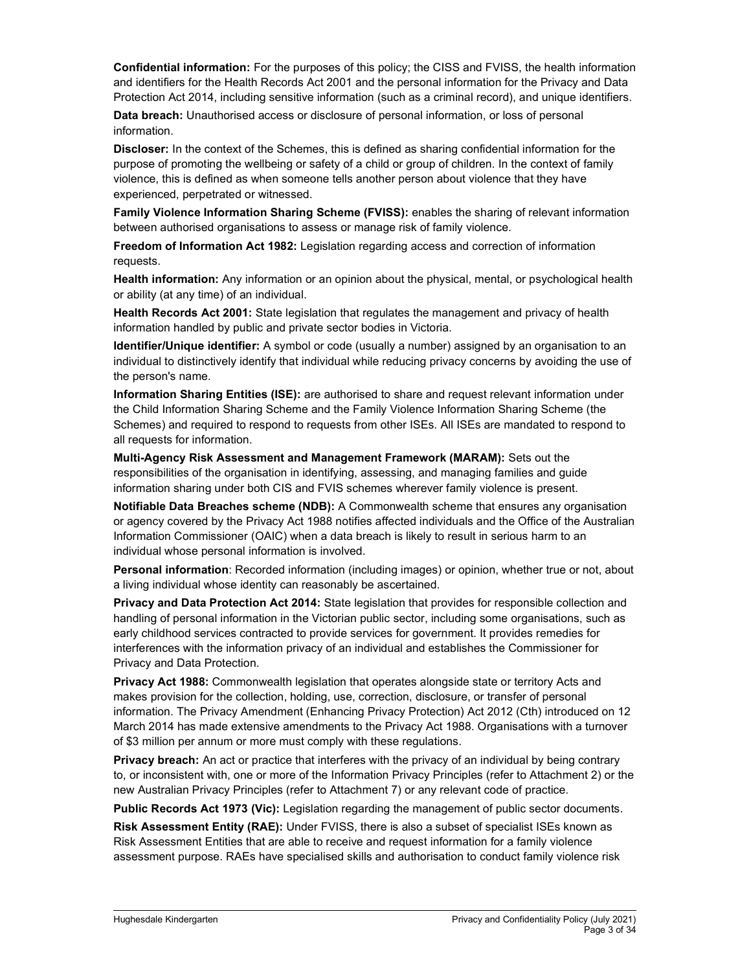Confidential information: For the purposes of this policy; the CISS and FVISS, the health information and identifiers for the Health Records Act 2001 and the personal information for the Privacy and Data Protection Act 2014, including sensitive information (such as a criminal record), and unique identifiers.

Data breach: Unauthorised access or disclosure of personal information, or loss of personal information.

Discloser: In the context of the Schemes, this is defined as sharing confidential information for the purpose of promoting the wellbeing or safety of a child or group of children. In the context of family violence, this is defined as when someone tells another person about violence that they have experienced, perpetrated or witnessed.

Family Violence Information Sharing Scheme (FVISS): enables the sharing of relevant information between authorised organisations to assess or manage risk of family violence.

Freedom of Information Act 1982: Legislation regarding access and correction of information requests.

Health information: Any information or an opinion about the physical, mental, or psychological health or ability (at any time) of an individual.

Health Records Act 2001: State legislation that regulates the management and privacy of health information handled by public and private sector bodies in Victoria.

Identifier/Unique identifier: A symbol or code (usually a number) assigned by an organisation to an individual to distinctively identify that individual while reducing privacy concerns by avoiding the use of the person's name.

Information Sharing Entities (ISE): are authorised to share and request relevant information under the Child Information Sharing Scheme and the Family Violence Information Sharing Scheme (the Schemes) and required to respond to requests from other ISEs. All ISEs are mandated to respond to all requests for information.

Multi-Agency Risk Assessment and Management Framework (MARAM): Sets out the responsibilities of the organisation in identifying, assessing, and managing families and guide information sharing under both CIS and FVIS schemes wherever family violence is present.

Notifiable Data Breaches scheme (NDB): A Commonwealth scheme that ensures any organisation or agency covered by the Privacy Act 1988 notifies affected individuals and the Office of the Australian Information Commissioner (OAIC) when a data breach is likely to result in serious harm to an individual whose personal information is involved.

Personal information: Recorded information (including images) or opinion, whether true or not, about a living individual whose identity can reasonably be ascertained.

Privacy and Data Protection Act 2014: State legislation that provides for responsible collection and handling of personal information in the Victorian public sector, including some organisations, such as early childhood services contracted to provide services for government. It provides remedies for interferences with the information privacy of an individual and establishes the Commissioner for Privacy and Data Protection.

**Privacy Act 1988:** Commonwealth legislation that operates alongside state or territory Acts and makes provision for the collection, holding, use, correction, disclosure, or transfer of personal information. The Privacy Amendment (Enhancing Privacy Protection) Act 2012 (Cth) introduced on 12 March 2014 has made extensive amendments to the Privacy Act 1988. Organisations with a turnover of \$3 million per annum or more must comply with these regulations.

Privacy breach: An act or practice that interferes with the privacy of an individual by being contrary to, or inconsistent with, one or more of the Information Privacy Principles (refer to Attachment 2) or the new Australian Privacy Principles (refer to Attachment 7) or any relevant code of practice.

Public Records Act 1973 (Vic): Legislation regarding the management of public sector documents.

Risk Assessment Entity (RAE): Under FVISS, there is also a subset of specialist ISEs known as Risk Assessment Entities that are able to receive and request information for a family violence assessment purpose. RAEs have specialised skills and authorisation to conduct family violence risk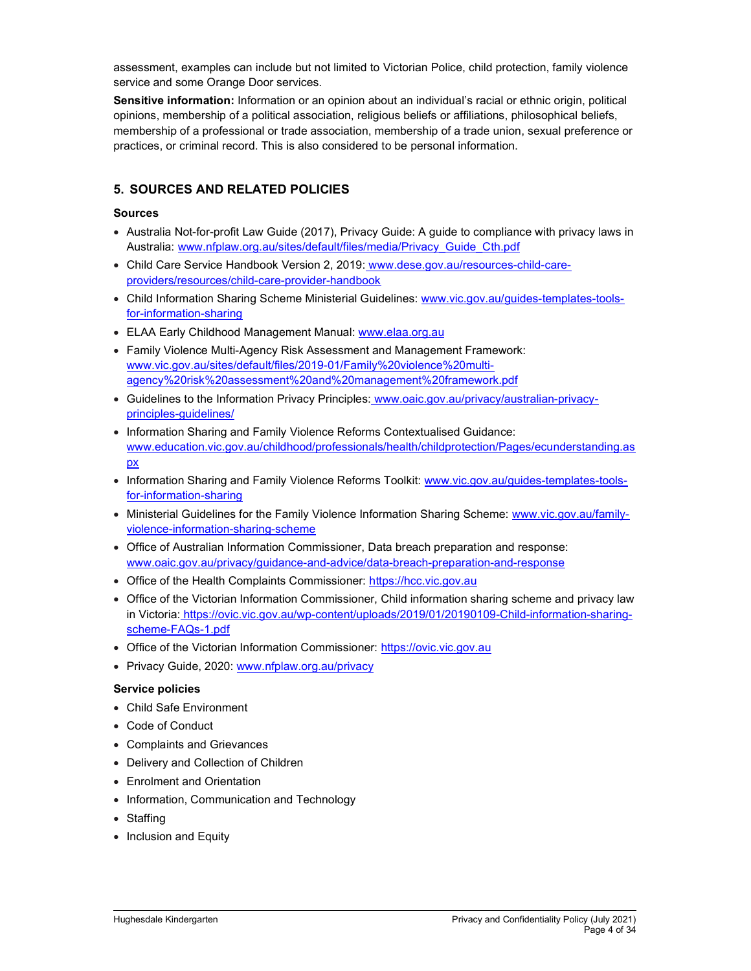assessment, examples can include but not limited to Victorian Police, child protection, family violence service and some Orange Door services.

Sensitive information: Information or an opinion about an individual's racial or ethnic origin, political opinions, membership of a political association, religious beliefs or affiliations, philosophical beliefs, membership of a professional or trade association, membership of a trade union, sexual preference or practices, or criminal record. This is also considered to be personal information.

## 5. SOURCES AND RELATED POLICIES

#### Sources

- Australia Not-for-profit Law Guide (2017), Privacy Guide: A guide to compliance with privacy laws in Australia: www.nfplaw.org.au/sites/default/files/media/Privacy\_Guide\_Cth.pdf
- Child Care Service Handbook Version 2, 2019: www.dese.gov.au/resources-child-careproviders/resources/child-care-provider-handbook
- Child Information Sharing Scheme Ministerial Guidelines: www.vic.gov.au/guides-templates-toolsfor-information-sharing
- ELAA Early Childhood Management Manual: www.elaa.org.au
- Family Violence Multi-Agency Risk Assessment and Management Framework: www.vic.gov.au/sites/default/files/2019-01/Family%20violence%20multiagency%20risk%20assessment%20and%20management%20framework.pdf
- Guidelines to the Information Privacy Principles: www.oaic.gov.au/privacy/australian-privacyprinciples-guidelines/
- Information Sharing and Family Violence Reforms Contextualised Guidance: www.education.vic.gov.au/childhood/professionals/health/childprotection/Pages/ecunderstanding.as px
- Information Sharing and Family Violence Reforms Toolkit: www.vic.gov.au/guides-templates-toolsfor-information-sharing
- Ministerial Guidelines for the Family Violence Information Sharing Scheme: www.vic.gov.au/familyviolence-information-sharing-scheme
- Office of Australian Information Commissioner, Data breach preparation and response: www.oaic.gov.au/privacy/guidance-and-advice/data-breach-preparation-and-response
- Office of the Health Complaints Commissioner: https://hcc.vic.gov.au
- Office of the Victorian Information Commissioner, Child information sharing scheme and privacy law in Victoria: https://ovic.vic.gov.au/wp-content/uploads/2019/01/20190109-Child-information-sharingscheme-FAQs-1.pdf
- Office of the Victorian Information Commissioner: https://ovic.vic.gov.au
- Privacy Guide, 2020: www.nfplaw.org.au/privacy

#### Service policies

- Child Safe Environment
- Code of Conduct
- Complaints and Grievances
- Delivery and Collection of Children
- Enrolment and Orientation
- Information, Communication and Technology
- Staffing
- Inclusion and Equity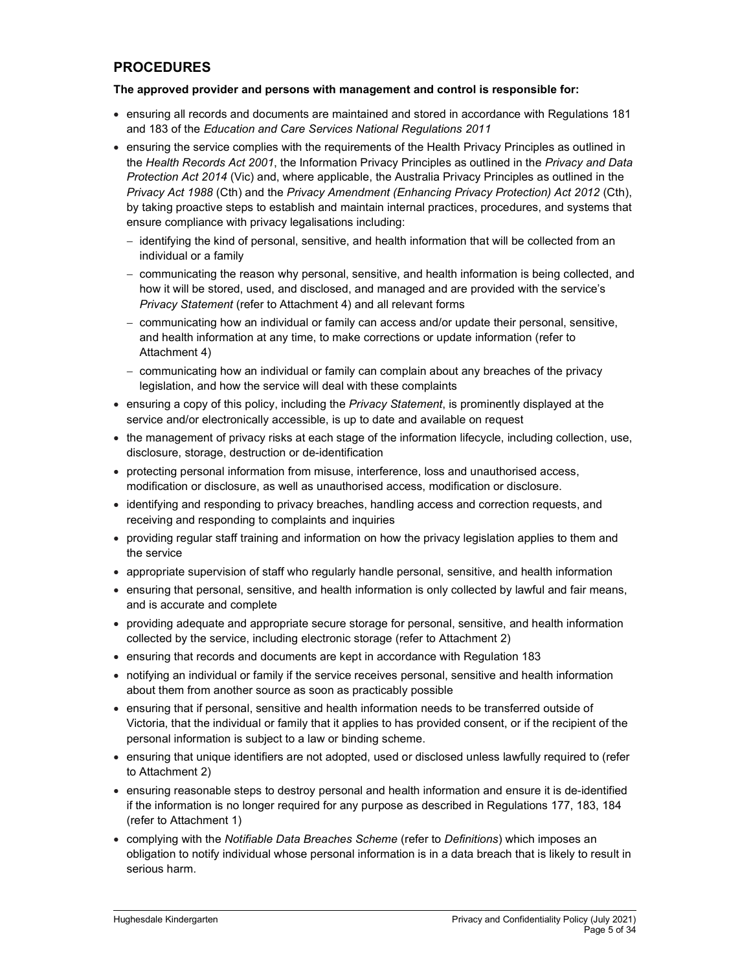## PROCEDURES

### The approved provider and persons with management and control is responsible for:

- ensuring all records and documents are maintained and stored in accordance with Regulations 181 and 183 of the Education and Care Services National Regulations 2011
- ensuring the service complies with the requirements of the Health Privacy Principles as outlined in the Health Records Act 2001, the Information Privacy Principles as outlined in the Privacy and Data Protection Act 2014 (Vic) and, where applicable, the Australia Privacy Principles as outlined in the Privacy Act 1988 (Cth) and the Privacy Amendment (Enhancing Privacy Protection) Act 2012 (Cth), by taking proactive steps to establish and maintain internal practices, procedures, and systems that ensure compliance with privacy legalisations including:
	- $-$  identifying the kind of personal, sensitive, and health information that will be collected from an individual or a family
	- communicating the reason why personal, sensitive, and health information is being collected, and how it will be stored, used, and disclosed, and managed and are provided with the service's Privacy Statement (refer to Attachment 4) and all relevant forms
	- communicating how an individual or family can access and/or update their personal, sensitive, and health information at any time, to make corrections or update information (refer to Attachment 4)
	- communicating how an individual or family can complain about any breaches of the privacy legislation, and how the service will deal with these complaints
- ensuring a copy of this policy, including the Privacy Statement, is prominently displayed at the service and/or electronically accessible, is up to date and available on request
- the management of privacy risks at each stage of the information lifecycle, including collection, use, disclosure, storage, destruction or de-identification
- protecting personal information from misuse, interference, loss and unauthorised access, modification or disclosure, as well as unauthorised access, modification or disclosure.
- identifying and responding to privacy breaches, handling access and correction requests, and receiving and responding to complaints and inquiries
- providing regular staff training and information on how the privacy legislation applies to them and the service
- appropriate supervision of staff who regularly handle personal, sensitive, and health information
- ensuring that personal, sensitive, and health information is only collected by lawful and fair means, and is accurate and complete
- providing adequate and appropriate secure storage for personal, sensitive, and health information collected by the service, including electronic storage (refer to Attachment 2)
- ensuring that records and documents are kept in accordance with Regulation 183
- notifying an individual or family if the service receives personal, sensitive and health information about them from another source as soon as practicably possible
- ensuring that if personal, sensitive and health information needs to be transferred outside of Victoria, that the individual or family that it applies to has provided consent, or if the recipient of the personal information is subject to a law or binding scheme.
- ensuring that unique identifiers are not adopted, used or disclosed unless lawfully required to (refer to Attachment 2)
- ensuring reasonable steps to destroy personal and health information and ensure it is de-identified if the information is no longer required for any purpose as described in Regulations 177, 183, 184 (refer to Attachment 1)
- complying with the Notifiable Data Breaches Scheme (refer to Definitions) which imposes an obligation to notify individual whose personal information is in a data breach that is likely to result in serious harm.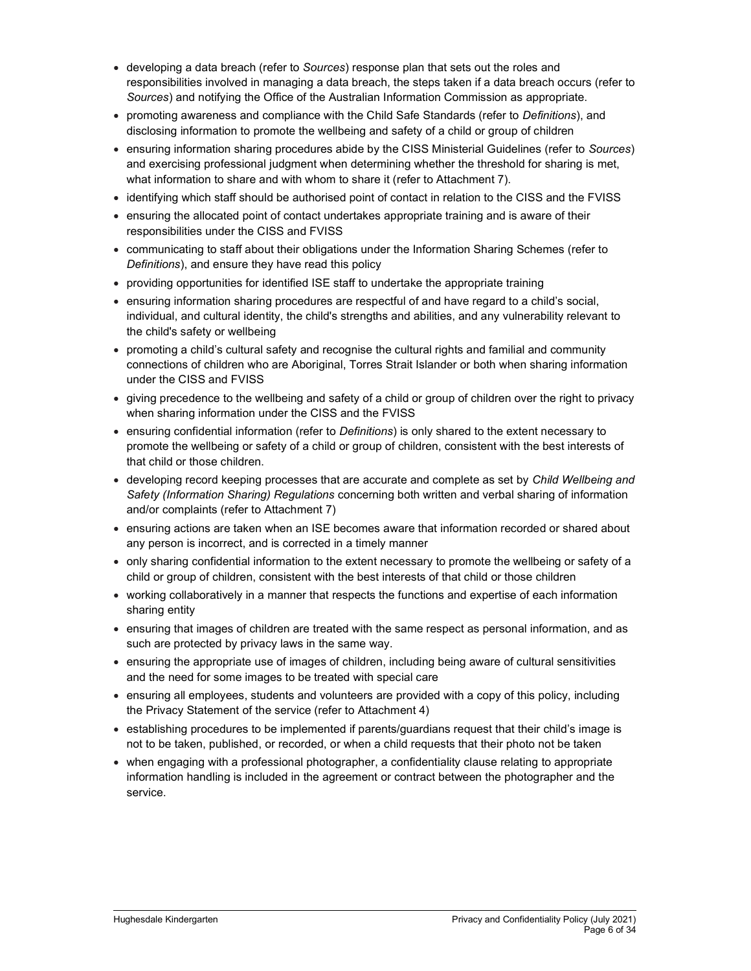- developing a data breach (refer to Sources) response plan that sets out the roles and responsibilities involved in managing a data breach, the steps taken if a data breach occurs (refer to Sources) and notifying the Office of the Australian Information Commission as appropriate.
- promoting awareness and compliance with the Child Safe Standards (refer to Definitions), and disclosing information to promote the wellbeing and safety of a child or group of children
- **ensuring information sharing procedures abide by the CISS Ministerial Guidelines (refer to Sources)** and exercising professional judgment when determining whether the threshold for sharing is met, what information to share and with whom to share it (refer to Attachment 7).
- identifying which staff should be authorised point of contact in relation to the CISS and the FVISS
- ensuring the allocated point of contact undertakes appropriate training and is aware of their responsibilities under the CISS and FVISS
- communicating to staff about their obligations under the Information Sharing Schemes (refer to Definitions), and ensure they have read this policy
- providing opportunities for identified ISE staff to undertake the appropriate training
- ensuring information sharing procedures are respectful of and have regard to a child's social, individual, and cultural identity, the child's strengths and abilities, and any vulnerability relevant to the child's safety or wellbeing
- promoting a child's cultural safety and recognise the cultural rights and familial and community connections of children who are Aboriginal, Torres Strait Islander or both when sharing information under the CISS and FVISS
- giving precedence to the wellbeing and safety of a child or group of children over the right to privacy when sharing information under the CISS and the FVISS
- ensuring confidential information (refer to Definitions) is only shared to the extent necessary to promote the wellbeing or safety of a child or group of children, consistent with the best interests of that child or those children.
- developing record keeping processes that are accurate and complete as set by Child Wellbeing and Safety (Information Sharing) Regulations concerning both written and verbal sharing of information and/or complaints (refer to Attachment 7)
- ensuring actions are taken when an ISE becomes aware that information recorded or shared about any person is incorrect, and is corrected in a timely manner
- only sharing confidential information to the extent necessary to promote the wellbeing or safety of a child or group of children, consistent with the best interests of that child or those children
- working collaboratively in a manner that respects the functions and expertise of each information sharing entity
- ensuring that images of children are treated with the same respect as personal information, and as such are protected by privacy laws in the same way.
- ensuring the appropriate use of images of children, including being aware of cultural sensitivities and the need for some images to be treated with special care
- ensuring all employees, students and volunteers are provided with a copy of this policy, including the Privacy Statement of the service (refer to Attachment 4)
- establishing procedures to be implemented if parents/guardians request that their child's image is not to be taken, published, or recorded, or when a child requests that their photo not be taken
- when engaging with a professional photographer, a confidentiality clause relating to appropriate information handling is included in the agreement or contract between the photographer and the service.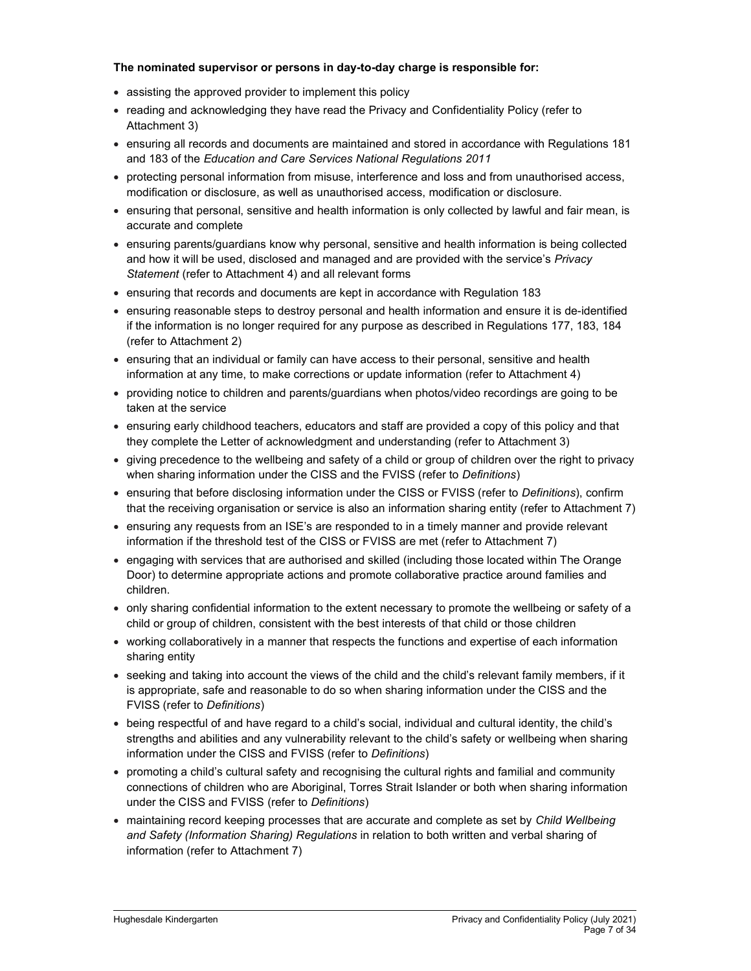### The nominated supervisor or persons in day-to-day charge is responsible for:

- assisting the approved provider to implement this policy
- reading and acknowledging they have read the Privacy and Confidentiality Policy (refer to Attachment 3)
- ensuring all records and documents are maintained and stored in accordance with Regulations 181 and 183 of the Education and Care Services National Regulations 2011
- protecting personal information from misuse, interference and loss and from unauthorised access, modification or disclosure, as well as unauthorised access, modification or disclosure.
- ensuring that personal, sensitive and health information is only collected by lawful and fair mean, is accurate and complete
- ensuring parents/guardians know why personal, sensitive and health information is being collected and how it will be used, disclosed and managed and are provided with the service's Privacy Statement (refer to Attachment 4) and all relevant forms
- ensuring that records and documents are kept in accordance with Regulation 183
- ensuring reasonable steps to destroy personal and health information and ensure it is de-identified if the information is no longer required for any purpose as described in Regulations 177, 183, 184 (refer to Attachment 2)
- ensuring that an individual or family can have access to their personal, sensitive and health information at any time, to make corrections or update information (refer to Attachment 4)
- providing notice to children and parents/guardians when photos/video recordings are going to be taken at the service
- ensuring early childhood teachers, educators and staff are provided a copy of this policy and that they complete the Letter of acknowledgment and understanding (refer to Attachment 3)
- giving precedence to the wellbeing and safety of a child or group of children over the right to privacy when sharing information under the CISS and the FVISS (refer to *Definitions*)
- ensuring that before disclosing information under the CISS or FVISS (refer to Definitions), confirm that the receiving organisation or service is also an information sharing entity (refer to Attachment 7)
- ensuring any requests from an ISE's are responded to in a timely manner and provide relevant information if the threshold test of the CISS or FVISS are met (refer to Attachment 7)
- engaging with services that are authorised and skilled (including those located within The Orange Door) to determine appropriate actions and promote collaborative practice around families and children.
- only sharing confidential information to the extent necessary to promote the wellbeing or safety of a child or group of children, consistent with the best interests of that child or those children
- working collaboratively in a manner that respects the functions and expertise of each information sharing entity
- seeking and taking into account the views of the child and the child's relevant family members, if it is appropriate, safe and reasonable to do so when sharing information under the CISS and the FVISS (refer to Definitions)
- being respectful of and have regard to a child's social, individual and cultural identity, the child's strengths and abilities and any vulnerability relevant to the child's safety or wellbeing when sharing information under the CISS and FVISS (refer to Definitions)
- promoting a child's cultural safety and recognising the cultural rights and familial and community connections of children who are Aboriginal, Torres Strait Islander or both when sharing information under the CISS and FVISS (refer to Definitions)
- maintaining record keeping processes that are accurate and complete as set by Child Wellbeing and Safety (Information Sharing) Regulations in relation to both written and verbal sharing of information (refer to Attachment 7)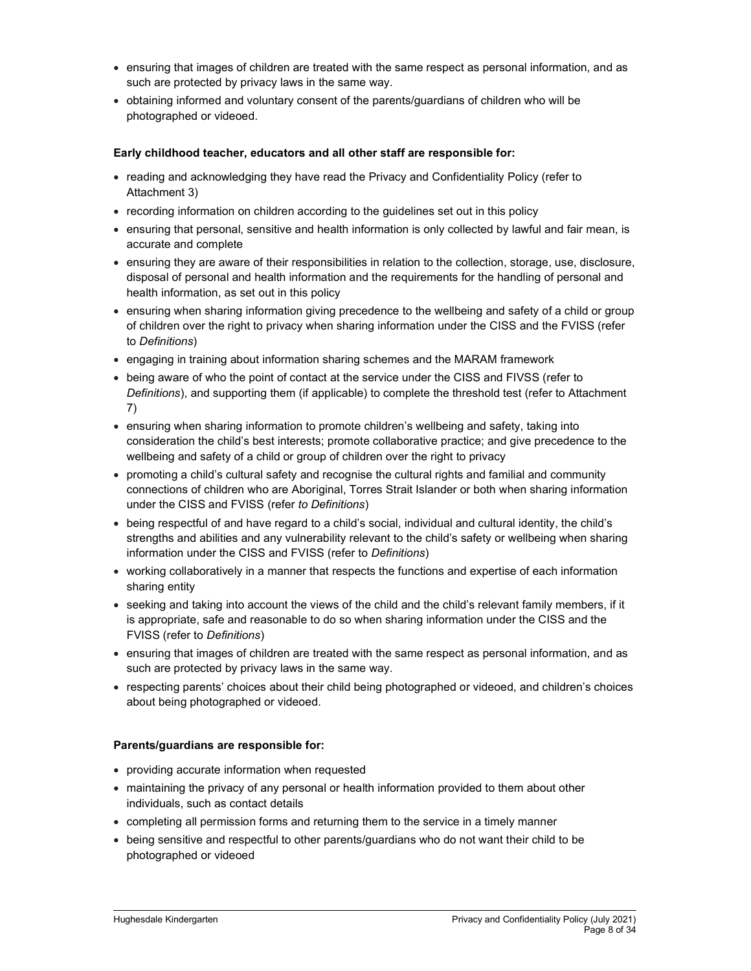- ensuring that images of children are treated with the same respect as personal information, and as such are protected by privacy laws in the same way.
- obtaining informed and voluntary consent of the parents/guardians of children who will be photographed or videoed.

### Early childhood teacher, educators and all other staff are responsible for:

- reading and acknowledging they have read the Privacy and Confidentiality Policy (refer to Attachment 3)
- recording information on children according to the guidelines set out in this policy
- ensuring that personal, sensitive and health information is only collected by lawful and fair mean, is accurate and complete
- ensuring they are aware of their responsibilities in relation to the collection, storage, use, disclosure, disposal of personal and health information and the requirements for the handling of personal and health information, as set out in this policy
- ensuring when sharing information giving precedence to the wellbeing and safety of a child or group of children over the right to privacy when sharing information under the CISS and the FVISS (refer to Definitions)
- engaging in training about information sharing schemes and the MARAM framework
- being aware of who the point of contact at the service under the CISS and FIVSS (refer to Definitions), and supporting them (if applicable) to complete the threshold test (refer to Attachment 7)
- ensuring when sharing information to promote children's wellbeing and safety, taking into consideration the child's best interests; promote collaborative practice; and give precedence to the wellbeing and safety of a child or group of children over the right to privacy
- promoting a child's cultural safety and recognise the cultural rights and familial and community connections of children who are Aboriginal, Torres Strait Islander or both when sharing information under the CISS and FVISS (refer to Definitions)
- being respectful of and have regard to a child's social, individual and cultural identity, the child's strengths and abilities and any vulnerability relevant to the child's safety or wellbeing when sharing information under the CISS and FVISS (refer to Definitions)
- working collaboratively in a manner that respects the functions and expertise of each information sharing entity
- seeking and taking into account the views of the child and the child's relevant family members, if it is appropriate, safe and reasonable to do so when sharing information under the CISS and the FVISS (refer to Definitions)
- ensuring that images of children are treated with the same respect as personal information, and as such are protected by privacy laws in the same way.
- respecting parents' choices about their child being photographed or videoed, and children's choices about being photographed or videoed.

### Parents/guardians are responsible for:

- providing accurate information when requested
- maintaining the privacy of any personal or health information provided to them about other individuals, such as contact details
- completing all permission forms and returning them to the service in a timely manner
- being sensitive and respectful to other parents/guardians who do not want their child to be photographed or videoed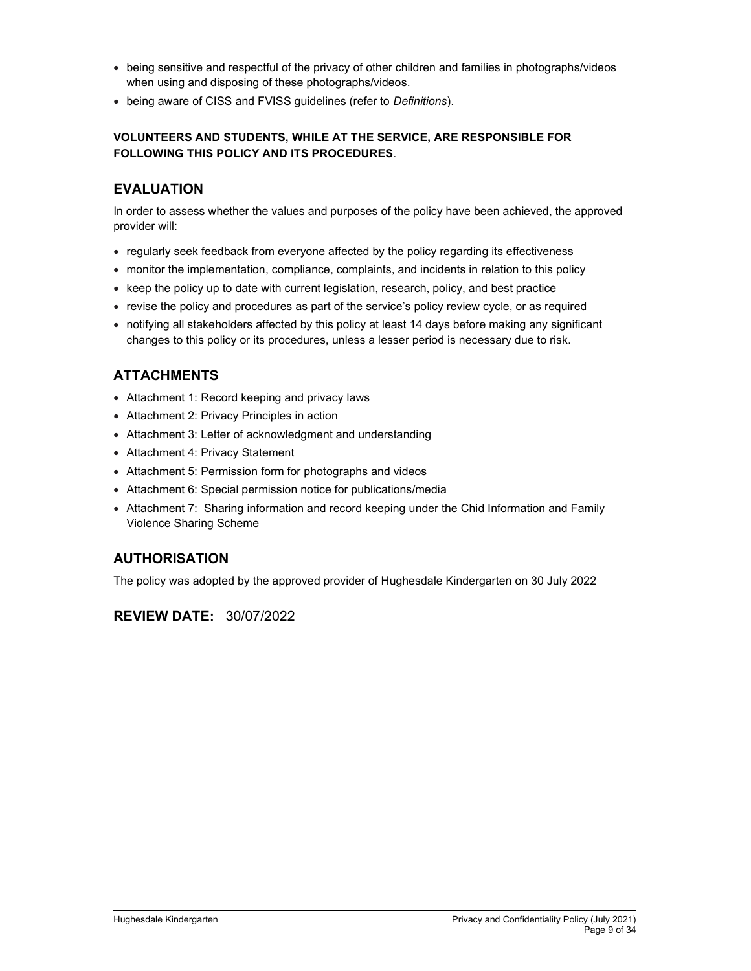- being sensitive and respectful of the privacy of other children and families in photographs/videos when using and disposing of these photographs/videos.
- being aware of CISS and FVISS guidelines (refer to Definitions).

## VOLUNTEERS AND STUDENTS, WHILE AT THE SERVICE, ARE RESPONSIBLE FOR FOLLOWING THIS POLICY AND ITS PROCEDURES.

## EVALUATION

In order to assess whether the values and purposes of the policy have been achieved, the approved provider will:

- regularly seek feedback from everyone affected by the policy regarding its effectiveness
- monitor the implementation, compliance, complaints, and incidents in relation to this policy
- keep the policy up to date with current legislation, research, policy, and best practice
- revise the policy and procedures as part of the service's policy review cycle, or as required
- notifying all stakeholders affected by this policy at least 14 days before making any significant changes to this policy or its procedures, unless a lesser period is necessary due to risk.

# ATTACHMENTS

- Attachment 1: Record keeping and privacy laws
- Attachment 2: Privacy Principles in action
- Attachment 3: Letter of acknowledgment and understanding
- Attachment 4: Privacy Statement
- Attachment 5: Permission form for photographs and videos
- Attachment 6: Special permission notice for publications/media
- Attachment 7: Sharing information and record keeping under the Chid Information and Family Violence Sharing Scheme

# AUTHORISATION

The policy was adopted by the approved provider of Hughesdale Kindergarten on 30 July 2022

# REVIEW DATE: 30/07/2022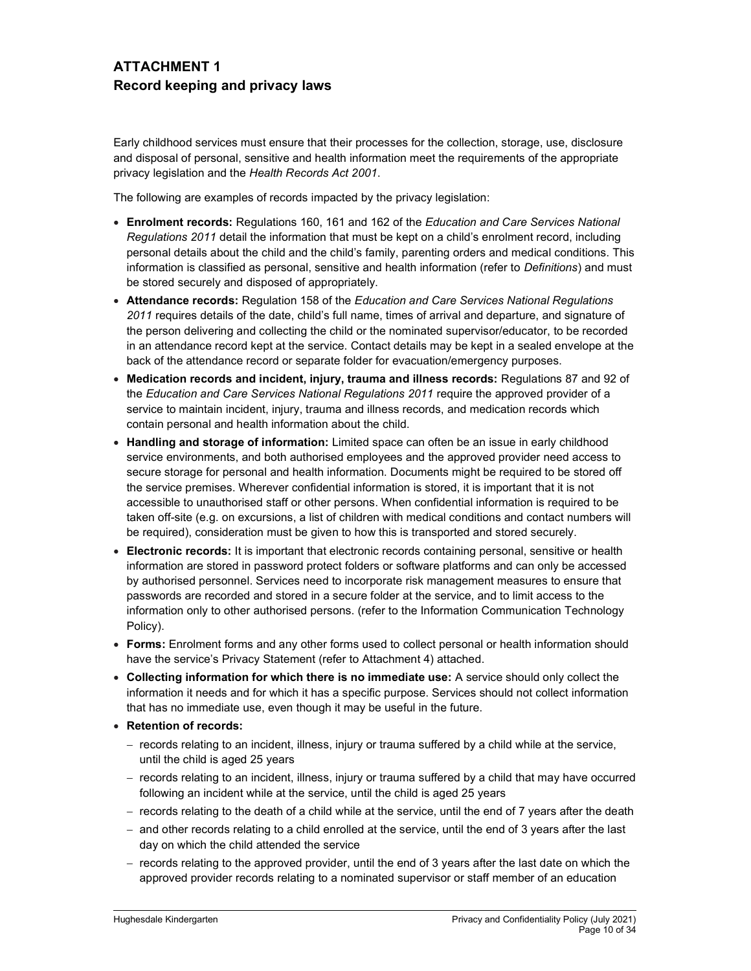# ATTACHMENT 1 Record keeping and privacy laws

Early childhood services must ensure that their processes for the collection, storage, use, disclosure and disposal of personal, sensitive and health information meet the requirements of the appropriate privacy legislation and the Health Records Act 2001.

The following are examples of records impacted by the privacy legislation:

- Enrolment records: Regulations 160, 161 and 162 of the Education and Care Services National Regulations 2011 detail the information that must be kept on a child's enrolment record, including personal details about the child and the child's family, parenting orders and medical conditions. This information is classified as personal, sensitive and health information (refer to Definitions) and must be stored securely and disposed of appropriately.
- Attendance records: Regulation 158 of the Education and Care Services National Regulations 2011 requires details of the date, child's full name, times of arrival and departure, and signature of the person delivering and collecting the child or the nominated supervisor/educator, to be recorded in an attendance record kept at the service. Contact details may be kept in a sealed envelope at the back of the attendance record or separate folder for evacuation/emergency purposes.
- Medication records and incident, injury, trauma and illness records: Regulations 87 and 92 of the Education and Care Services National Regulations 2011 require the approved provider of a service to maintain incident, injury, trauma and illness records, and medication records which contain personal and health information about the child.
- Handling and storage of information: Limited space can often be an issue in early childhood service environments, and both authorised employees and the approved provider need access to secure storage for personal and health information. Documents might be required to be stored off the service premises. Wherever confidential information is stored, it is important that it is not accessible to unauthorised staff or other persons. When confidential information is required to be taken off-site (e.g. on excursions, a list of children with medical conditions and contact numbers will be required), consideration must be given to how this is transported and stored securely.
- Electronic records: It is important that electronic records containing personal, sensitive or health information are stored in password protect folders or software platforms and can only be accessed by authorised personnel. Services need to incorporate risk management measures to ensure that passwords are recorded and stored in a secure folder at the service, and to limit access to the information only to other authorised persons. (refer to the Information Communication Technology Policy).
- Forms: Enrolment forms and any other forms used to collect personal or health information should have the service's Privacy Statement (refer to Attachment 4) attached.
- Collecting information for which there is no immediate use: A service should only collect the information it needs and for which it has a specific purpose. Services should not collect information that has no immediate use, even though it may be useful in the future.
- Retention of records:
	- $-$  records relating to an incident, illness, injury or trauma suffered by a child while at the service, until the child is aged 25 years
	- records relating to an incident, illness, injury or trauma suffered by a child that may have occurred following an incident while at the service, until the child is aged 25 years
	- $-$  records relating to the death of a child while at the service, until the end of 7 years after the death
	- and other records relating to a child enrolled at the service, until the end of 3 years after the last day on which the child attended the service
	- records relating to the approved provider, until the end of 3 years after the last date on which the approved provider records relating to a nominated supervisor or staff member of an education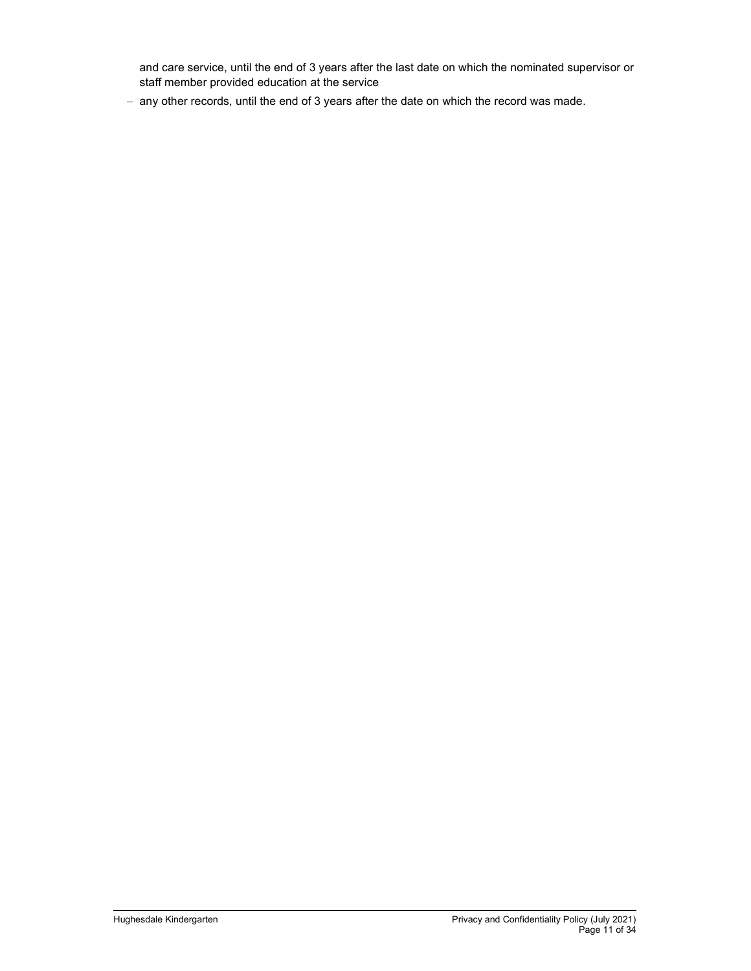and care service, until the end of 3 years after the last date on which the nominated supervisor or staff member provided education at the service

- any other records, until the end of 3 years after the date on which the record was made.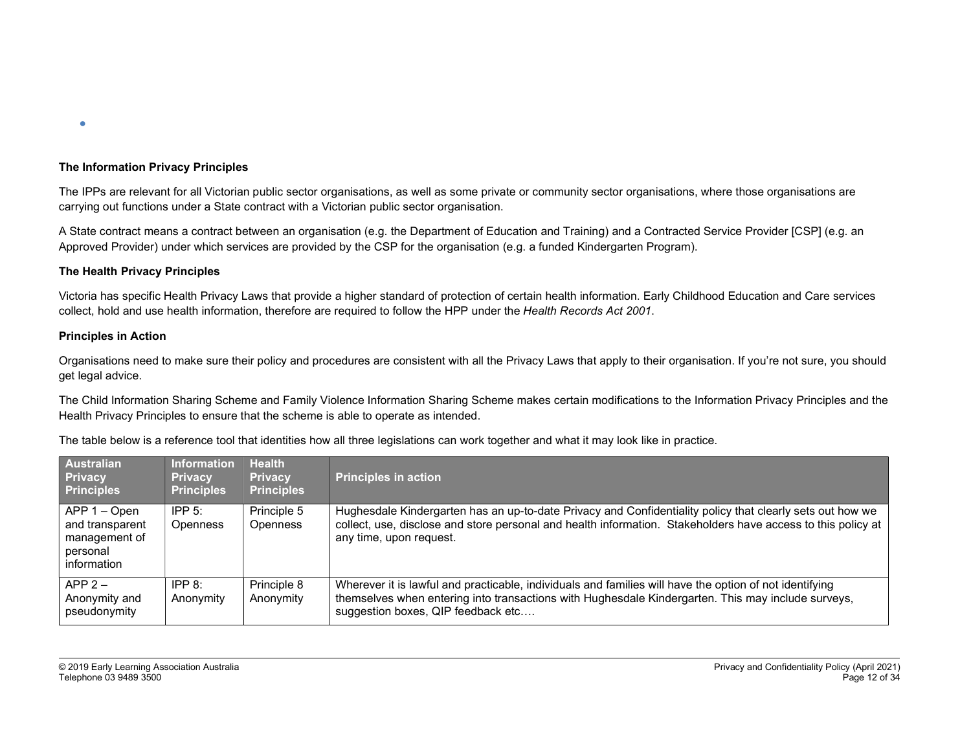

#### The Information Privacy Principles

The IPPs are relevant for all Victorian public sector organisations, as well as some private or community sector organisations, where those organisations are carrying out functions under a State contract with a Victorian public sector organisation.

A State contract means a contract between an organisation (e.g. the Department of Education and Training) and a Contracted Service Provider [CSP] (e.g. an Approved Provider) under which services are provided by the CSP for the organisation (e.g. a funded Kindergarten Program).

#### The Health Privacy Principles

Victoria has specific Health Privacy Laws that provide a higher standard of protection of certain health information. Early Childhood Education and Care services collect, hold and use health information, therefore are required to follow the HPP under the Health Records Act 2001.

#### Principles in Action

Organisations need to make sure their policy and procedures are consistent with all the Privacy Laws that apply to their organisation. If you're not sure, you should get legal advice.

The Child Information Sharing Scheme and Family Violence Information Sharing Scheme makes certain modifications to the Information Privacy Principles and the Health Privacy Principles to ensure that the scheme is able to operate as intended.

| Australian<br><b>Privacy</b><br><b>Principles</b>                           | <b>Information</b><br><b>Privacy</b><br><b>Principles</b> | <b>Health</b><br><b>Privacy</b><br><b>Principles</b> | <b>Principles in action</b>                                                                                                                                                                                                                          |
|-----------------------------------------------------------------------------|-----------------------------------------------------------|------------------------------------------------------|------------------------------------------------------------------------------------------------------------------------------------------------------------------------------------------------------------------------------------------------------|
| APP 1 – Open<br>and transparent<br>management of<br>personal<br>information | IPP $5$ :<br><b>Openness</b>                              | Principle 5<br><b>Openness</b>                       | Hughesdale Kindergarten has an up-to-date Privacy and Confidentiality policy that clearly sets out how we<br>collect, use, disclose and store personal and health information. Stakeholders have access to this policy at<br>any time, upon request. |
| $APP 2 -$<br>Anonymity and<br>pseudonymity                                  | IPP 8:<br>Anonymity                                       | Principle 8<br>Anonymity                             | Wherever it is lawful and practicable, individuals and families will have the option of not identifying<br>themselves when entering into transactions with Hughesdale Kindergarten. This may include surveys,<br>suggestion boxes, QIP feedback etc  |

The table below is a reference tool that identities how all three legislations can work together and what it may look like in practice.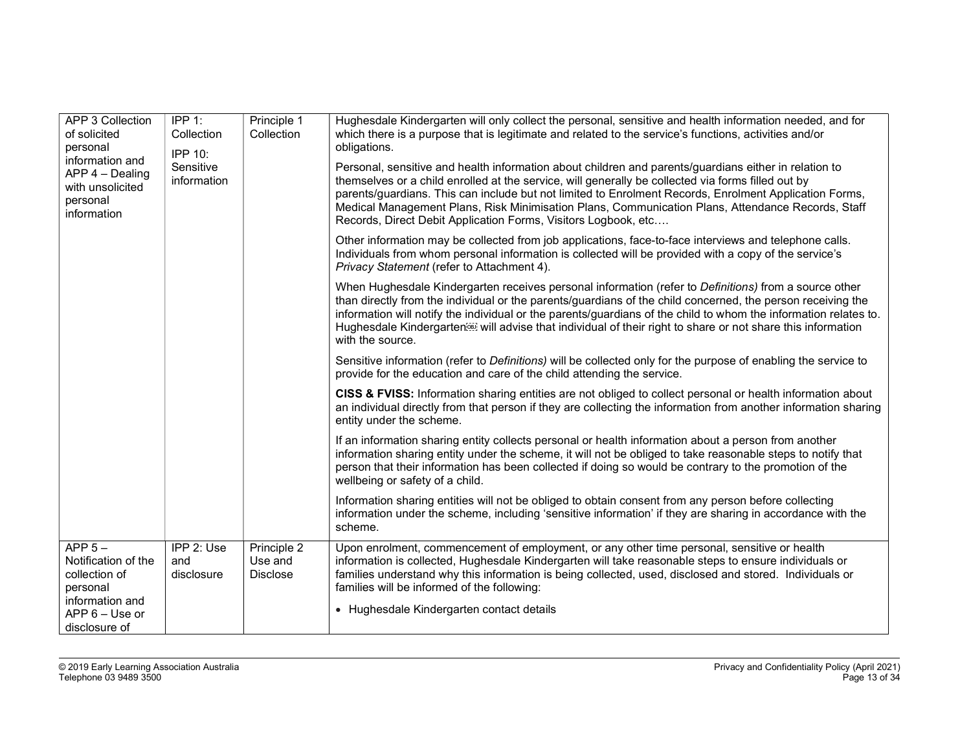| <b>APP 3 Collection</b><br>of solicited<br>personal<br>information and<br>$APP 4 - Dealing$<br>with unsolicited<br>personal<br>information | IPP $1$ :<br>Collection<br><b>IPP 10:</b><br>Sensitive<br>information | Principle 1<br>Collection                 | Hughesdale Kindergarten will only collect the personal, sensitive and health information needed, and for<br>which there is a purpose that is legitimate and related to the service's functions, activities and/or<br>obligations.<br>Personal, sensitive and health information about children and parents/guardians either in relation to<br>themselves or a child enrolled at the service, will generally be collected via forms filled out by<br>parents/guardians. This can include but not limited to Enrolment Records, Enrolment Application Forms,<br>Medical Management Plans, Risk Minimisation Plans, Communication Plans, Attendance Records, Staff<br>Records, Direct Debit Application Forms, Visitors Logbook, etc |
|--------------------------------------------------------------------------------------------------------------------------------------------|-----------------------------------------------------------------------|-------------------------------------------|-----------------------------------------------------------------------------------------------------------------------------------------------------------------------------------------------------------------------------------------------------------------------------------------------------------------------------------------------------------------------------------------------------------------------------------------------------------------------------------------------------------------------------------------------------------------------------------------------------------------------------------------------------------------------------------------------------------------------------------|
|                                                                                                                                            |                                                                       |                                           | Other information may be collected from job applications, face-to-face interviews and telephone calls.<br>Individuals from whom personal information is collected will be provided with a copy of the service's<br>Privacy Statement (refer to Attachment 4).                                                                                                                                                                                                                                                                                                                                                                                                                                                                     |
|                                                                                                                                            |                                                                       |                                           | When Hughesdale Kindergarten receives personal information (refer to Definitions) from a source other<br>than directly from the individual or the parents/guardians of the child concerned, the person receiving the<br>information will notify the individual or the parents/guardians of the child to whom the information relates to.<br>Hughesdale Kindergarten <sup>553</sup> will advise that individual of their right to share or not share this information<br>with the source.                                                                                                                                                                                                                                          |
|                                                                                                                                            |                                                                       |                                           | Sensitive information (refer to Definitions) will be collected only for the purpose of enabling the service to<br>provide for the education and care of the child attending the service.                                                                                                                                                                                                                                                                                                                                                                                                                                                                                                                                          |
|                                                                                                                                            |                                                                       |                                           | CISS & FVISS: Information sharing entities are not obliged to collect personal or health information about<br>an individual directly from that person if they are collecting the information from another information sharing<br>entity under the scheme.                                                                                                                                                                                                                                                                                                                                                                                                                                                                         |
|                                                                                                                                            |                                                                       |                                           | If an information sharing entity collects personal or health information about a person from another<br>information sharing entity under the scheme, it will not be obliged to take reasonable steps to notify that<br>person that their information has been collected if doing so would be contrary to the promotion of the<br>wellbeing or safety of a child.                                                                                                                                                                                                                                                                                                                                                                  |
|                                                                                                                                            |                                                                       |                                           | Information sharing entities will not be obliged to obtain consent from any person before collecting<br>information under the scheme, including 'sensitive information' if they are sharing in accordance with the<br>scheme.                                                                                                                                                                                                                                                                                                                                                                                                                                                                                                     |
| $APP 5 -$<br>Notification of the<br>collection of<br>personal<br>information and                                                           | IPP 2: Use<br>and<br>disclosure                                       | Principle 2<br>Use and<br><b>Disclose</b> | Upon enrolment, commencement of employment, or any other time personal, sensitive or health<br>information is collected, Hughesdale Kindergarten will take reasonable steps to ensure individuals or<br>families understand why this information is being collected, used, disclosed and stored. Individuals or<br>families will be informed of the following:                                                                                                                                                                                                                                                                                                                                                                    |
| APP 6 - Use or<br>disclosure of                                                                                                            |                                                                       |                                           | • Hughesdale Kindergarten contact details                                                                                                                                                                                                                                                                                                                                                                                                                                                                                                                                                                                                                                                                                         |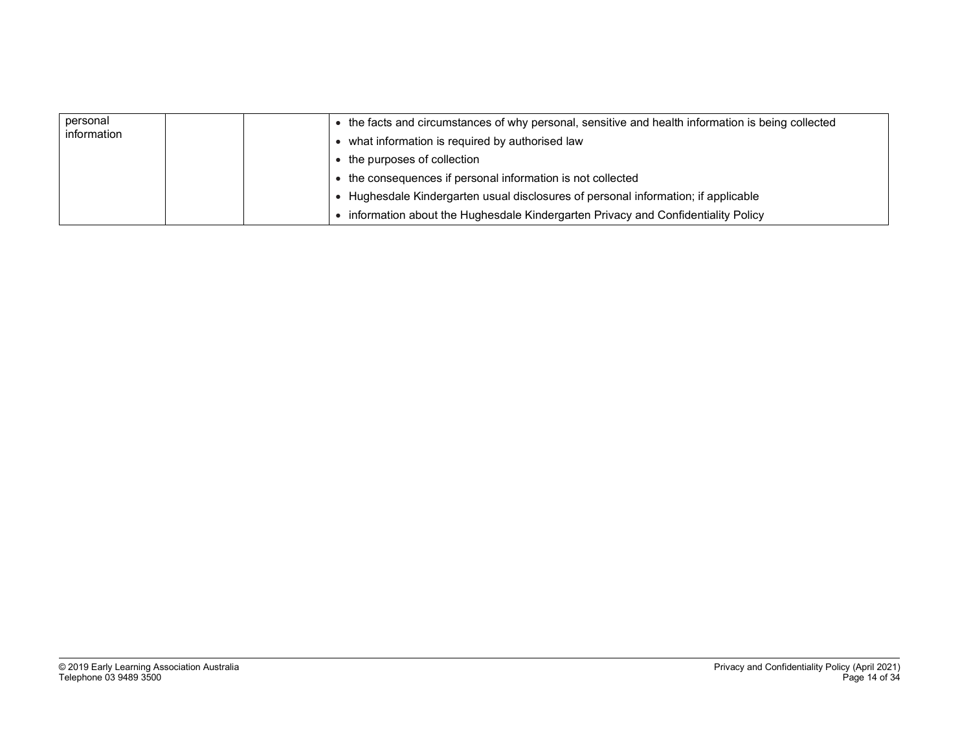| personal<br>information | • the facts and circumstances of why personal, sensitive and health information is being collected<br>• what information is required by authorised law |
|-------------------------|--------------------------------------------------------------------------------------------------------------------------------------------------------|
|                         | • the purposes of collection                                                                                                                           |
|                         | • the consequences if personal information is not collected                                                                                            |
|                         | Hughesdale Kindergarten usual disclosures of personal information; if applicable                                                                       |
|                         | information about the Hughesdale Kindergarten Privacy and Confidentiality Policy                                                                       |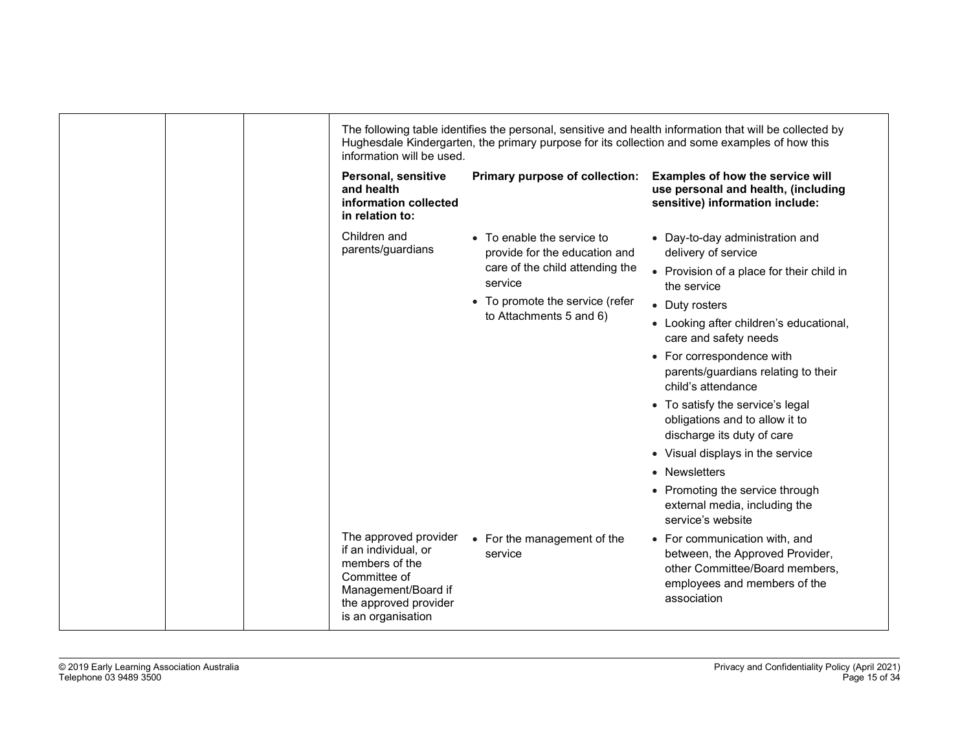| information will be used.                                                                                                                             |                                                                                                                                                                         | The following table identifies the personal, sensitive and health information that will be collected by<br>Hughesdale Kindergarten, the primary purpose for its collection and some examples of how this                                                                                                                                                                                                                                                                                                                                             |
|-------------------------------------------------------------------------------------------------------------------------------------------------------|-------------------------------------------------------------------------------------------------------------------------------------------------------------------------|------------------------------------------------------------------------------------------------------------------------------------------------------------------------------------------------------------------------------------------------------------------------------------------------------------------------------------------------------------------------------------------------------------------------------------------------------------------------------------------------------------------------------------------------------|
| Personal, sensitive<br>and health<br>information collected<br>in relation to:                                                                         | Primary purpose of collection:                                                                                                                                          | Examples of how the service will<br>use personal and health, (including<br>sensitive) information include:                                                                                                                                                                                                                                                                                                                                                                                                                                           |
| Children and<br>parents/guardians                                                                                                                     | • To enable the service to<br>provide for the education and<br>care of the child attending the<br>service<br>• To promote the service (refer<br>to Attachments 5 and 6) | • Day-to-day administration and<br>delivery of service<br>• Provision of a place for their child in<br>the service<br>• Duty rosters<br>• Looking after children's educational,<br>care and safety needs<br>• For correspondence with<br>parents/guardians relating to their<br>child's attendance<br>• To satisfy the service's legal<br>obligations and to allow it to<br>discharge its duty of care<br>• Visual displays in the service<br>• Newsletters<br>• Promoting the service through<br>external media, including the<br>service's website |
| The approved provider<br>if an individual, or<br>members of the<br>Committee of<br>Management/Board if<br>the approved provider<br>is an organisation | • For the management of the<br>service                                                                                                                                  | • For communication with, and<br>between, the Approved Provider,<br>other Committee/Board members,<br>employees and members of the<br>association                                                                                                                                                                                                                                                                                                                                                                                                    |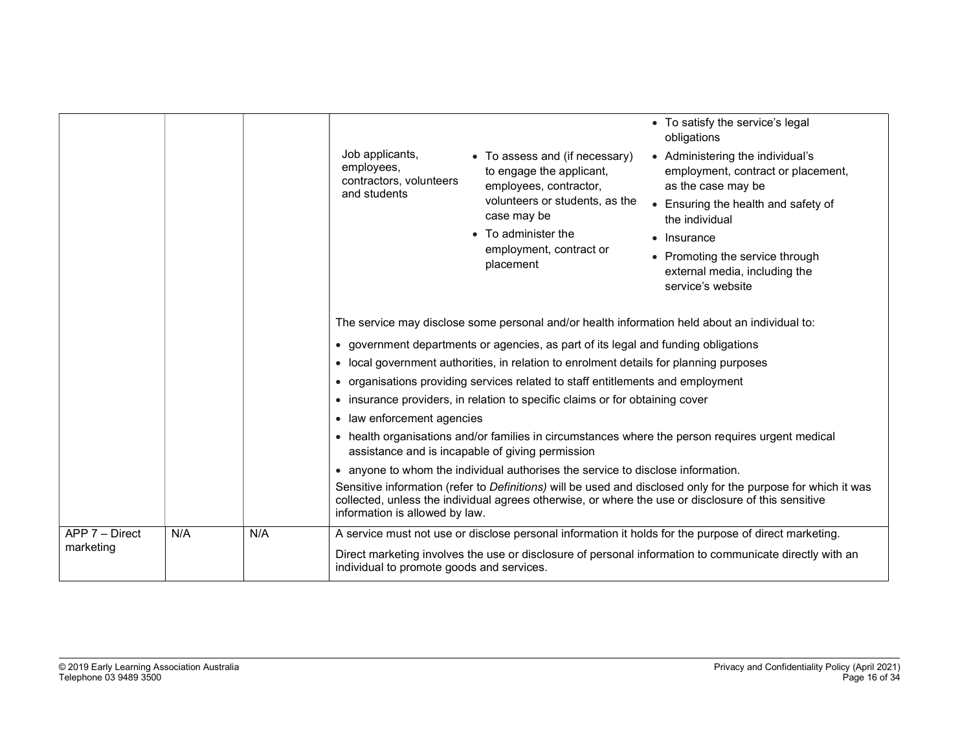|                             |     |     | Job applicants,<br>employees,<br>contractors, volunteers<br>and students | • To assess and (if necessary)<br>to engage the applicant,<br>employees, contractor,<br>volunteers or students, as the<br>case may be<br>• To administer the<br>employment, contract or<br>placement                                                                                                                                                                                                                                                                               | • To satisfy the service's legal<br>obligations<br>• Administering the individual's<br>employment, contract or placement,<br>as the case may be<br>• Ensuring the health and safety of<br>the individual<br>• Insurance<br>• Promoting the service through<br>external media, including the<br>service's website   |
|-----------------------------|-----|-----|--------------------------------------------------------------------------|------------------------------------------------------------------------------------------------------------------------------------------------------------------------------------------------------------------------------------------------------------------------------------------------------------------------------------------------------------------------------------------------------------------------------------------------------------------------------------|--------------------------------------------------------------------------------------------------------------------------------------------------------------------------------------------------------------------------------------------------------------------------------------------------------------------|
|                             |     |     | $\bullet$<br>law enforcement agencies<br>$\bullet$                       | • government departments or agencies, as part of its legal and funding obligations<br>local government authorities, in relation to enrolment details for planning purposes<br>• organisations providing services related to staff entitlements and employment<br>• insurance providers, in relation to specific claims or for obtaining cover<br>assistance and is incapable of giving permission<br>anyone to whom the individual authorises the service to disclose information. | The service may disclose some personal and/or health information held about an individual to:<br>• health organisations and/or families in circumstances where the person requires urgent medical<br>Sensitive information (refer to Definitions) will be used and disclosed only for the purpose for which it was |
|                             |     |     | information is allowed by law.                                           |                                                                                                                                                                                                                                                                                                                                                                                                                                                                                    | collected, unless the individual agrees otherwise, or where the use or disclosure of this sensitive                                                                                                                                                                                                                |
| APP 7 - Direct<br>marketing | N/A | N/A | individual to promote goods and services.                                |                                                                                                                                                                                                                                                                                                                                                                                                                                                                                    | A service must not use or disclose personal information it holds for the purpose of direct marketing.<br>Direct marketing involves the use or disclosure of personal information to communicate directly with an                                                                                                   |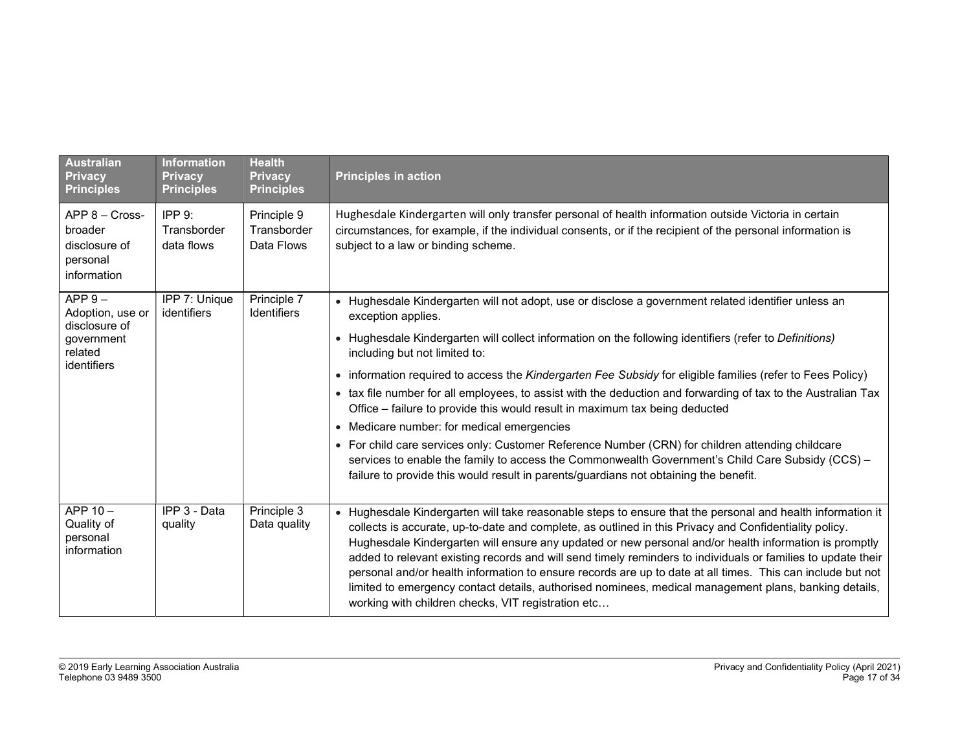| <b>Australian</b><br><b>Privacy</b><br><b>Principles</b>              | <b>Information</b><br><b>Privacy</b><br><b>Principles</b> | <b>Health</b><br><b>Privacy</b><br><b>Principles</b> | <b>Principles in action</b>                                                                                                                                                                                                                                                                                                                                                                                                                                                                                                                                                                                                                                                                                                |
|-----------------------------------------------------------------------|-----------------------------------------------------------|------------------------------------------------------|----------------------------------------------------------------------------------------------------------------------------------------------------------------------------------------------------------------------------------------------------------------------------------------------------------------------------------------------------------------------------------------------------------------------------------------------------------------------------------------------------------------------------------------------------------------------------------------------------------------------------------------------------------------------------------------------------------------------------|
| APP 8 - Cross-<br>broader<br>disclosure of<br>personal<br>information | IPP9:<br>Transborder<br>data flows                        | Principle 9<br>Transborder<br>Data Flows             | Hughesdale Kindergarten will only transfer personal of health information outside Victoria in certain<br>circumstances, for example, if the individual consents, or if the recipient of the personal information is<br>subject to a law or binding scheme.                                                                                                                                                                                                                                                                                                                                                                                                                                                                 |
| $APP 9 -$<br>Adoption, use or<br>disclosure of                        | IPP 7: Unique<br>identifiers                              | Principle 7<br>Identifiers                           | · Hughesdale Kindergarten will not adopt, use or disclose a government related identifier unless an<br>exception applies.                                                                                                                                                                                                                                                                                                                                                                                                                                                                                                                                                                                                  |
| government<br>related                                                 |                                                           |                                                      | • Hughesdale Kindergarten will collect information on the following identifiers (refer to Definitions)<br>including but not limited to:                                                                                                                                                                                                                                                                                                                                                                                                                                                                                                                                                                                    |
| identifiers                                                           |                                                           |                                                      | • information required to access the Kindergarten Fee Subsidy for eligible families (refer to Fees Policy)                                                                                                                                                                                                                                                                                                                                                                                                                                                                                                                                                                                                                 |
|                                                                       |                                                           |                                                      | • tax file number for all employees, to assist with the deduction and forwarding of tax to the Australian Tax<br>Office – failure to provide this would result in maximum tax being deducted                                                                                                                                                                                                                                                                                                                                                                                                                                                                                                                               |
|                                                                       |                                                           |                                                      | • Medicare number: for medical emergencies                                                                                                                                                                                                                                                                                                                                                                                                                                                                                                                                                                                                                                                                                 |
|                                                                       |                                                           |                                                      | • For child care services only: Customer Reference Number (CRN) for children attending childcare<br>services to enable the family to access the Commonwealth Government's Child Care Subsidy (CCS) -<br>failure to provide this would result in parents/guardians not obtaining the benefit.                                                                                                                                                                                                                                                                                                                                                                                                                               |
| APP 10-<br>Quality of<br>personal<br>information                      | IPP 3 - Data<br>quality                                   | Principle 3<br>Data quality                          | • Hughesdale Kindergarten will take reasonable steps to ensure that the personal and health information it<br>collects is accurate, up-to-date and complete, as outlined in this Privacy and Confidentiality policy.<br>Hughesdale Kindergarten will ensure any updated or new personal and/or health information is promptly<br>added to relevant existing records and will send timely reminders to individuals or families to update their<br>personal and/or health information to ensure records are up to date at all times. This can include but not<br>limited to emergency contact details, authorised nominees, medical management plans, banking details,<br>working with children checks, VIT registration etc |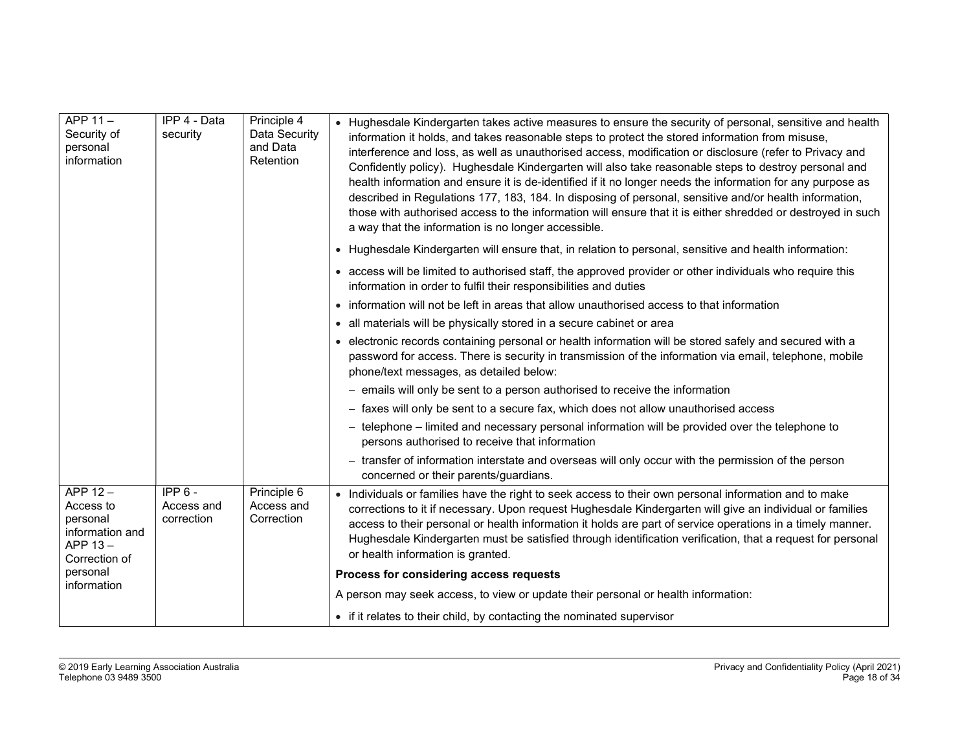| APP 11-<br>Security of<br>personal<br>information                                  | IPP 4 - Data<br>security             | Principle 4<br>Data Security<br>and Data<br>Retention | • Hughesdale Kindergarten takes active measures to ensure the security of personal, sensitive and health<br>information it holds, and takes reasonable steps to protect the stored information from misuse,<br>interference and loss, as well as unauthorised access, modification or disclosure (refer to Privacy and<br>Confidently policy). Hughesdale Kindergarten will also take reasonable steps to destroy personal and<br>health information and ensure it is de-identified if it no longer needs the information for any purpose as<br>described in Regulations 177, 183, 184. In disposing of personal, sensitive and/or health information,<br>those with authorised access to the information will ensure that it is either shredded or destroyed in such<br>a way that the information is no longer accessible. |
|------------------------------------------------------------------------------------|--------------------------------------|-------------------------------------------------------|------------------------------------------------------------------------------------------------------------------------------------------------------------------------------------------------------------------------------------------------------------------------------------------------------------------------------------------------------------------------------------------------------------------------------------------------------------------------------------------------------------------------------------------------------------------------------------------------------------------------------------------------------------------------------------------------------------------------------------------------------------------------------------------------------------------------------|
|                                                                                    |                                      |                                                       | • Hughesdale Kindergarten will ensure that, in relation to personal, sensitive and health information:                                                                                                                                                                                                                                                                                                                                                                                                                                                                                                                                                                                                                                                                                                                       |
|                                                                                    |                                      |                                                       | • access will be limited to authorised staff, the approved provider or other individuals who require this<br>information in order to fulfil their responsibilities and duties                                                                                                                                                                                                                                                                                                                                                                                                                                                                                                                                                                                                                                                |
|                                                                                    |                                      |                                                       | • information will not be left in areas that allow unauthorised access to that information                                                                                                                                                                                                                                                                                                                                                                                                                                                                                                                                                                                                                                                                                                                                   |
|                                                                                    |                                      |                                                       | • all materials will be physically stored in a secure cabinet or area                                                                                                                                                                                                                                                                                                                                                                                                                                                                                                                                                                                                                                                                                                                                                        |
|                                                                                    |                                      |                                                       | • electronic records containing personal or health information will be stored safely and secured with a<br>password for access. There is security in transmission of the information via email, telephone, mobile<br>phone/text messages, as detailed below:                                                                                                                                                                                                                                                                                                                                                                                                                                                                                                                                                                 |
|                                                                                    |                                      |                                                       | - emails will only be sent to a person authorised to receive the information                                                                                                                                                                                                                                                                                                                                                                                                                                                                                                                                                                                                                                                                                                                                                 |
|                                                                                    |                                      |                                                       | - faxes will only be sent to a secure fax, which does not allow unauthorised access                                                                                                                                                                                                                                                                                                                                                                                                                                                                                                                                                                                                                                                                                                                                          |
|                                                                                    |                                      |                                                       | - telephone - limited and necessary personal information will be provided over the telephone to<br>persons authorised to receive that information                                                                                                                                                                                                                                                                                                                                                                                                                                                                                                                                                                                                                                                                            |
|                                                                                    |                                      |                                                       | - transfer of information interstate and overseas will only occur with the permission of the person<br>concerned or their parents/guardians.                                                                                                                                                                                                                                                                                                                                                                                                                                                                                                                                                                                                                                                                                 |
| APP $12 -$<br>Access to<br>personal<br>information and<br>APP 13-<br>Correction of | $IPP6 -$<br>Access and<br>correction | Principle 6<br>Access and<br>Correction               | • Individuals or families have the right to seek access to their own personal information and to make<br>corrections to it if necessary. Upon request Hughesdale Kindergarten will give an individual or families<br>access to their personal or health information it holds are part of service operations in a timely manner.<br>Hughesdale Kindergarten must be satisfied through identification verification, that a request for personal<br>or health information is granted.                                                                                                                                                                                                                                                                                                                                           |
| personal<br>information                                                            |                                      |                                                       | Process for considering access requests                                                                                                                                                                                                                                                                                                                                                                                                                                                                                                                                                                                                                                                                                                                                                                                      |
|                                                                                    |                                      |                                                       | A person may seek access, to view or update their personal or health information:                                                                                                                                                                                                                                                                                                                                                                                                                                                                                                                                                                                                                                                                                                                                            |
|                                                                                    |                                      |                                                       | • if it relates to their child, by contacting the nominated supervisor                                                                                                                                                                                                                                                                                                                                                                                                                                                                                                                                                                                                                                                                                                                                                       |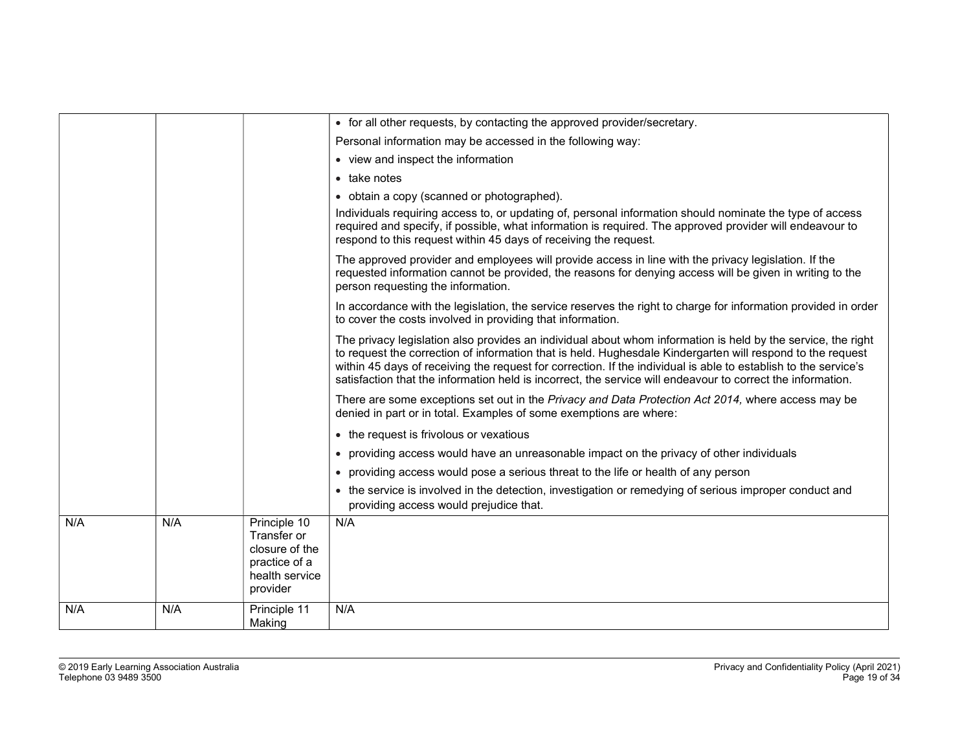|     |     |                                                                                              | • for all other requests, by contacting the approved provider/secretary.                                                                                                                                                                                                                                                                                                                                                                                     |
|-----|-----|----------------------------------------------------------------------------------------------|--------------------------------------------------------------------------------------------------------------------------------------------------------------------------------------------------------------------------------------------------------------------------------------------------------------------------------------------------------------------------------------------------------------------------------------------------------------|
|     |     |                                                                                              | Personal information may be accessed in the following way:                                                                                                                                                                                                                                                                                                                                                                                                   |
|     |     |                                                                                              | • view and inspect the information                                                                                                                                                                                                                                                                                                                                                                                                                           |
|     |     |                                                                                              | • take notes                                                                                                                                                                                                                                                                                                                                                                                                                                                 |
|     |     |                                                                                              | • obtain a copy (scanned or photographed).                                                                                                                                                                                                                                                                                                                                                                                                                   |
|     |     |                                                                                              | Individuals requiring access to, or updating of, personal information should nominate the type of access<br>required and specify, if possible, what information is required. The approved provider will endeavour to<br>respond to this request within 45 days of receiving the request.                                                                                                                                                                     |
|     |     |                                                                                              | The approved provider and employees will provide access in line with the privacy legislation. If the<br>requested information cannot be provided, the reasons for denying access will be given in writing to the<br>person requesting the information.                                                                                                                                                                                                       |
|     |     |                                                                                              | In accordance with the legislation, the service reserves the right to charge for information provided in order<br>to cover the costs involved in providing that information.                                                                                                                                                                                                                                                                                 |
|     |     |                                                                                              | The privacy legislation also provides an individual about whom information is held by the service, the right<br>to request the correction of information that is held. Hughesdale Kindergarten will respond to the request<br>within 45 days of receiving the request for correction. If the individual is able to establish to the service's<br>satisfaction that the information held is incorrect, the service will endeavour to correct the information. |
|     |     |                                                                                              | There are some exceptions set out in the Privacy and Data Protection Act 2014, where access may be<br>denied in part or in total. Examples of some exemptions are where:                                                                                                                                                                                                                                                                                     |
|     |     |                                                                                              | • the request is frivolous or vexatious                                                                                                                                                                                                                                                                                                                                                                                                                      |
|     |     |                                                                                              | • providing access would have an unreasonable impact on the privacy of other individuals                                                                                                                                                                                                                                                                                                                                                                     |
|     |     |                                                                                              | • providing access would pose a serious threat to the life or health of any person                                                                                                                                                                                                                                                                                                                                                                           |
|     |     |                                                                                              | • the service is involved in the detection, investigation or remedying of serious improper conduct and<br>providing access would prejudice that.                                                                                                                                                                                                                                                                                                             |
| N/A | N/A | Principle 10<br>Transfer or<br>closure of the<br>practice of a<br>health service<br>provider | N/A                                                                                                                                                                                                                                                                                                                                                                                                                                                          |
| N/A | N/A | Principle 11<br>Making                                                                       | N/A                                                                                                                                                                                                                                                                                                                                                                                                                                                          |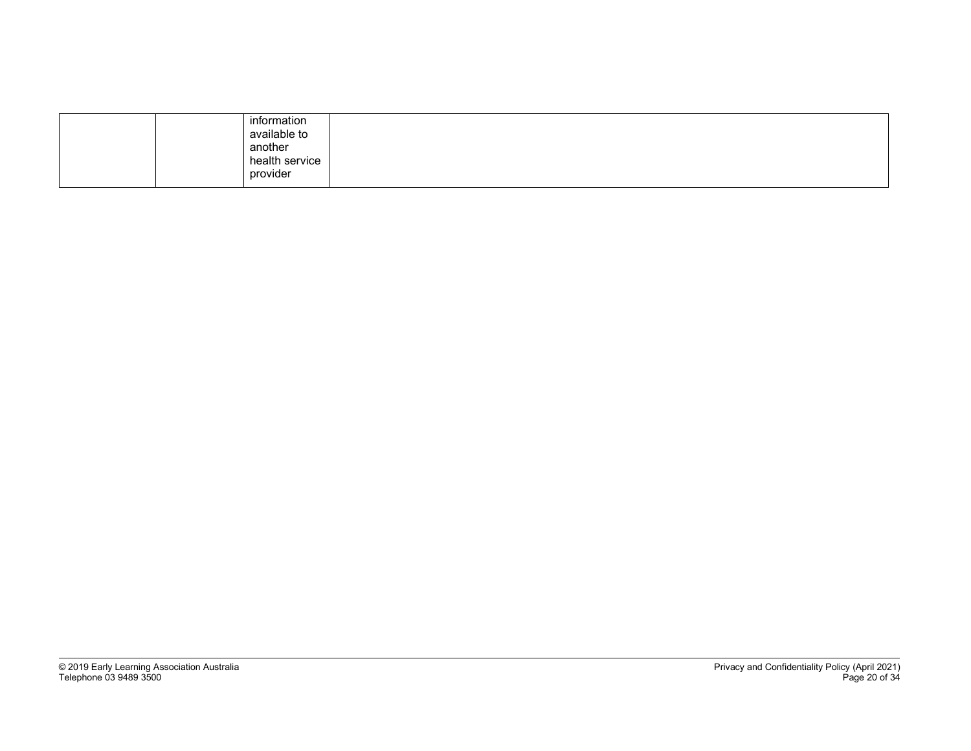| information<br>available to<br>another<br>health service<br>provider |  |
|----------------------------------------------------------------------|--|
|----------------------------------------------------------------------|--|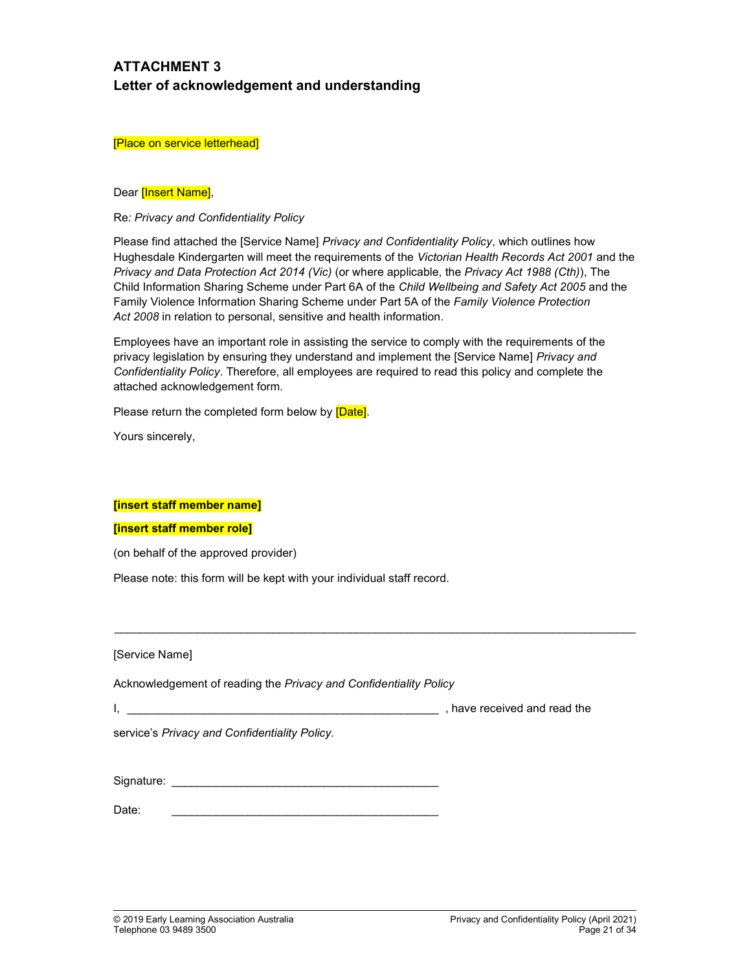# ATTACHMENT 3 Letter of acknowledgement and understanding

#### [Place on service letterhead]

### Dear **[Insert Name]**,

### Re: Privacy and Confidentiality Policy

Please find attached the [Service Name] Privacy and Confidentiality Policy, which outlines how Hughesdale Kindergarten will meet the requirements of the Victorian Health Records Act 2001 and the Privacy and Data Protection Act 2014 (Vic) (or where applicable, the Privacy Act 1988 (Cth)), The Child Information Sharing Scheme under Part 6A of the Child Wellbeing and Safety Act 2005 and the Family Violence Information Sharing Scheme under Part 5A of the Family Violence Protection Act 2008 in relation to personal, sensitive and health information.

Employees have an important role in assisting the service to comply with the requirements of the privacy legislation by ensuring they understand and implement the [Service Name] Privacy and Confidentiality Policy. Therefore, all employees are required to read this policy and complete the attached acknowledgement form.

 $\_$  , and the state of the state of the state of the state of the state of the state of the state of the state of the state of the state of the state of the state of the state of the state of the state of the state of the

Please return the completed form below by [Date].

Yours sincerely,

### [insert staff member name]

### [insert staff member role]

(on behalf of the approved provider)

Please note: this form will be kept with your individual staff record.

[Service Name]

Acknowledgement of reading the Privacy and Confidentiality Policy

I, have received and read the

service's Privacy and Confidentiality Policy.

Signature: \_\_\_\_\_\_\_\_\_\_\_\_\_\_\_\_\_\_\_\_\_\_\_\_\_\_\_\_\_\_\_\_\_\_\_\_\_\_\_\_\_\_

Date: \_\_\_\_\_\_\_\_\_\_\_\_\_\_\_\_\_\_\_\_\_\_\_\_\_\_\_\_\_\_\_\_\_\_\_\_\_\_\_\_\_\_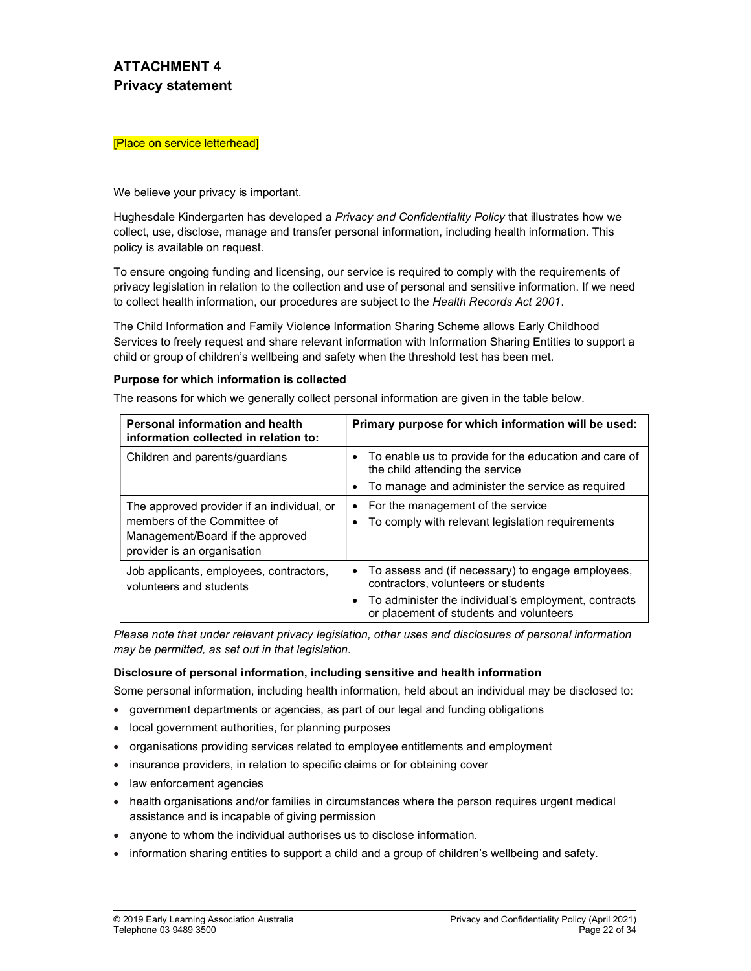# ATTACHMENT 4 Privacy statement

#### [Place on service letterhead]

We believe your privacy is important.

Hughesdale Kindergarten has developed a Privacy and Confidentiality Policy that illustrates how we collect, use, disclose, manage and transfer personal information, including health information. This policy is available on request.

To ensure ongoing funding and licensing, our service is required to comply with the requirements of privacy legislation in relation to the collection and use of personal and sensitive information. If we need to collect health information, our procedures are subject to the Health Records Act 2001.

The Child Information and Family Violence Information Sharing Scheme allows Early Childhood Services to freely request and share relevant information with Information Sharing Entities to support a child or group of children's wellbeing and safety when the threshold test has been met.

### Purpose for which information is collected

The reasons for which we generally collect personal information are given in the table below.

| <b>Personal information and health</b><br>information collected in relation to:                                                              | Primary purpose for which information will be used:                                                                                                                                                |
|----------------------------------------------------------------------------------------------------------------------------------------------|----------------------------------------------------------------------------------------------------------------------------------------------------------------------------------------------------|
| Children and parents/guardians                                                                                                               | To enable us to provide for the education and care of<br>$\bullet$<br>the child attending the service<br>To manage and administer the service as required<br>$\bullet$                             |
| The approved provider if an individual, or<br>members of the Committee of<br>Management/Board if the approved<br>provider is an organisation | For the management of the service<br>$\bullet$<br>To comply with relevant legislation requirements<br>$\bullet$                                                                                    |
| Job applicants, employees, contractors,<br>volunteers and students                                                                           | • To assess and (if necessary) to engage employees,<br>contractors, volunteers or students<br>To administer the individual's employment, contracts<br>٠<br>or placement of students and volunteers |

Please note that under relevant privacy legislation, other uses and disclosures of personal information may be permitted, as set out in that legislation.

#### Disclosure of personal information, including sensitive and health information

Some personal information, including health information, held about an individual may be disclosed to:

- government departments or agencies, as part of our legal and funding obligations
- local government authorities, for planning purposes
- organisations providing services related to employee entitlements and employment
- insurance providers, in relation to specific claims or for obtaining cover
- law enforcement agencies
- health organisations and/or families in circumstances where the person requires urgent medical assistance and is incapable of giving permission
- anyone to whom the individual authorises us to disclose information.
- information sharing entities to support a child and a group of children's wellbeing and safety.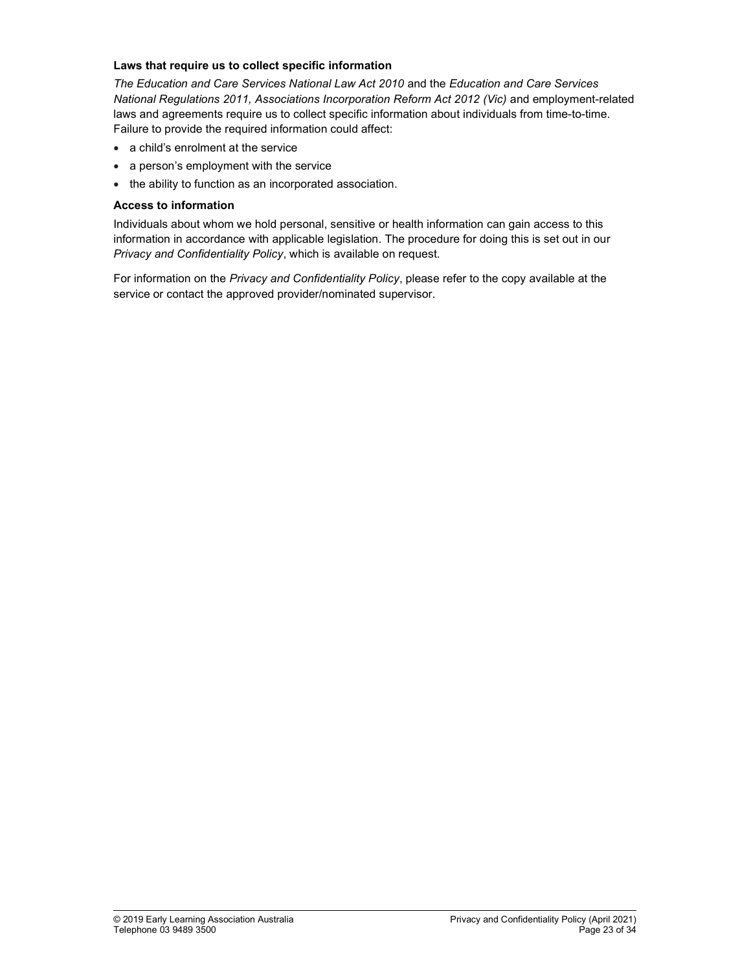### Laws that require us to collect specific information

The Education and Care Services National Law Act 2010 and the Education and Care Services National Regulations 2011, Associations Incorporation Reform Act 2012 (Vic) and employment-related laws and agreements require us to collect specific information about individuals from time-to-time. Failure to provide the required information could affect:

- a child's enrolment at the service
- a person's employment with the service
- the ability to function as an incorporated association.

## Access to information

Individuals about whom we hold personal, sensitive or health information can gain access to this information in accordance with applicable legislation. The procedure for doing this is set out in our Privacy and Confidentiality Policy, which is available on request.

For information on the Privacy and Confidentiality Policy, please refer to the copy available at the service or contact the approved provider/nominated supervisor.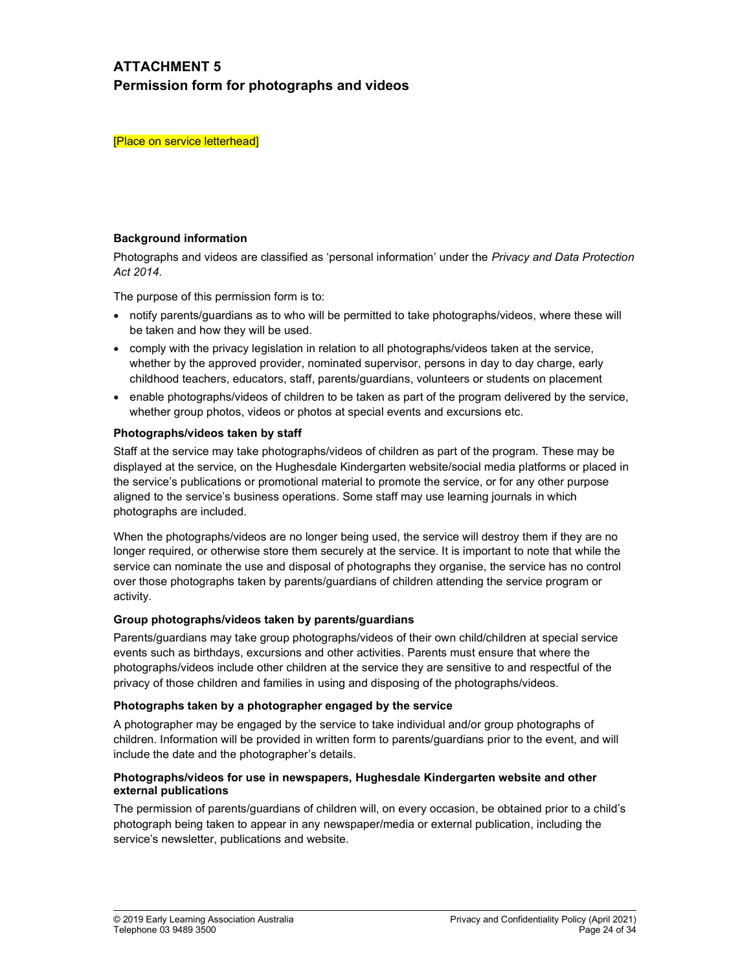# ATTACHMENT 5 Permission form for photographs and videos

[Place on service letterhead]

### Background information

Photographs and videos are classified as 'personal information' under the Privacy and Data Protection Act 2014.

The purpose of this permission form is to:

- notify parents/guardians as to who will be permitted to take photographs/videos, where these will be taken and how they will be used.
- comply with the privacy legislation in relation to all photographs/videos taken at the service, whether by the approved provider, nominated supervisor, persons in day to day charge, early childhood teachers, educators, staff, parents/guardians, volunteers or students on placement
- enable photographs/videos of children to be taken as part of the program delivered by the service, whether group photos, videos or photos at special events and excursions etc.

### Photographs/videos taken by staff

Staff at the service may take photographs/videos of children as part of the program. These may be displayed at the service, on the Hughesdale Kindergarten website/social media platforms or placed in the service's publications or promotional material to promote the service, or for any other purpose aligned to the service's business operations. Some staff may use learning journals in which photographs are included.

When the photographs/videos are no longer being used, the service will destroy them if they are no longer required, or otherwise store them securely at the service. It is important to note that while the service can nominate the use and disposal of photographs they organise, the service has no control over those photographs taken by parents/guardians of children attending the service program or activity.

### Group photographs/videos taken by parents/guardians

Parents/guardians may take group photographs/videos of their own child/children at special service events such as birthdays, excursions and other activities. Parents must ensure that where the photographs/videos include other children at the service they are sensitive to and respectful of the privacy of those children and families in using and disposing of the photographs/videos.

### Photographs taken by a photographer engaged by the service

A photographer may be engaged by the service to take individual and/or group photographs of children. Information will be provided in written form to parents/guardians prior to the event, and will include the date and the photographer's details.

### Photographs/videos for use in newspapers, Hughesdale Kindergarten website and other external publications

The permission of parents/guardians of children will, on every occasion, be obtained prior to a child's photograph being taken to appear in any newspaper/media or external publication, including the service's newsletter, publications and website.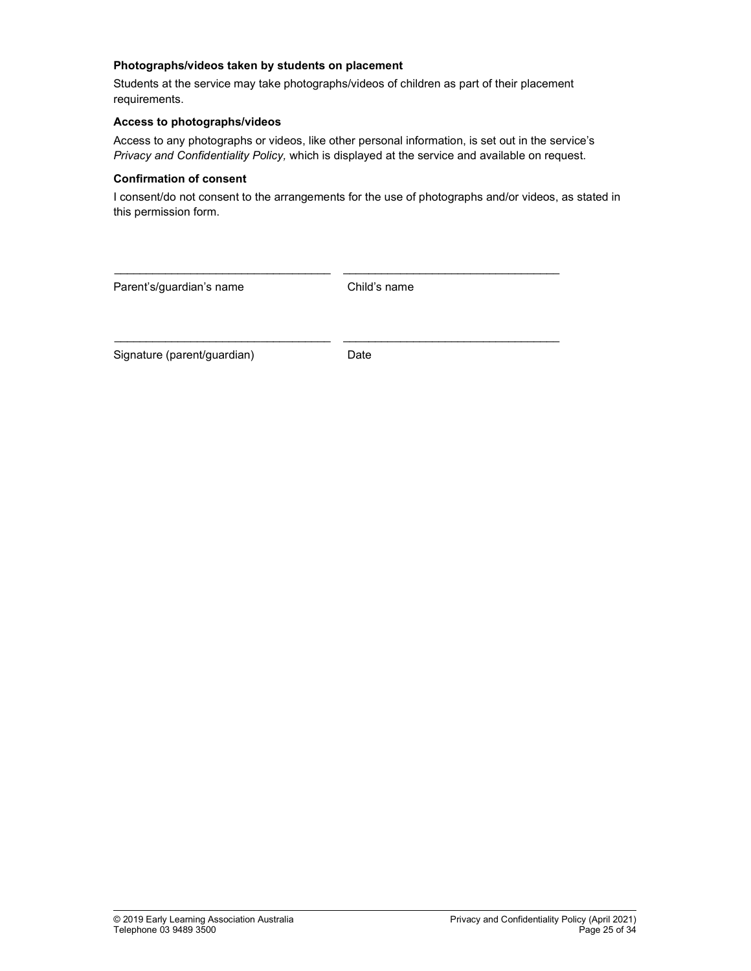### Photographs/videos taken by students on placement

Students at the service may take photographs/videos of children as part of their placement requirements.

## Access to photographs/videos

Access to any photographs or videos, like other personal information, is set out in the service's Privacy and Confidentiality Policy, which is displayed at the service and available on request.

### Confirmation of consent

I consent/do not consent to the arrangements for the use of photographs and/or videos, as stated in this permission form.

| Parent's/guardian's name    | Child's name |
|-----------------------------|--------------|
| Signature (parent/guardian) | Date         |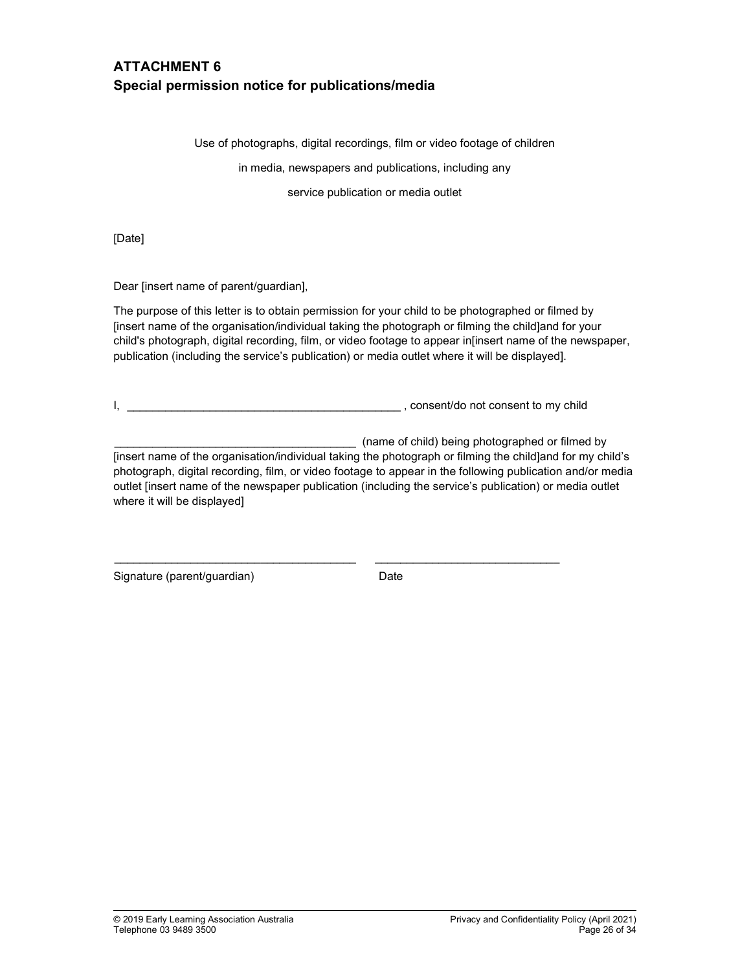# ATTACHMENT 6 Special permission notice for publications/media

Use of photographs, digital recordings, film or video footage of children

in media, newspapers and publications, including any

service publication or media outlet

[Date]

Dear [insert name of parent/guardian],

The purpose of this letter is to obtain permission for your child to be photographed or filmed by [insert name of the organisation/individual taking the photograph or filming the child]and for your child's photograph, digital recording, film, or video footage to appear in[insert name of the newspaper, publication (including the service's publication) or media outlet where it will be displayed].

I, \_\_\_\_\_\_\_\_\_\_\_\_\_\_\_\_\_\_\_\_\_\_\_\_\_\_\_\_\_\_\_\_\_\_\_\_\_\_\_\_\_\_\_ , consent/do not consent to my child

 $\_$  , and the set of the set of the set of the set of the set of the set of the set of the set of the set of the set of the set of the set of the set of the set of the set of the set of the set of the set of the set of th

(name of child) being photographed or filmed by

[insert name of the organisation/individual taking the photograph or filming the child]and for my child's photograph, digital recording, film, or video footage to appear in the following publication and/or media outlet [insert name of the newspaper publication (including the service's publication) or media outlet where it will be displayed]

Signature (parent/guardian) Date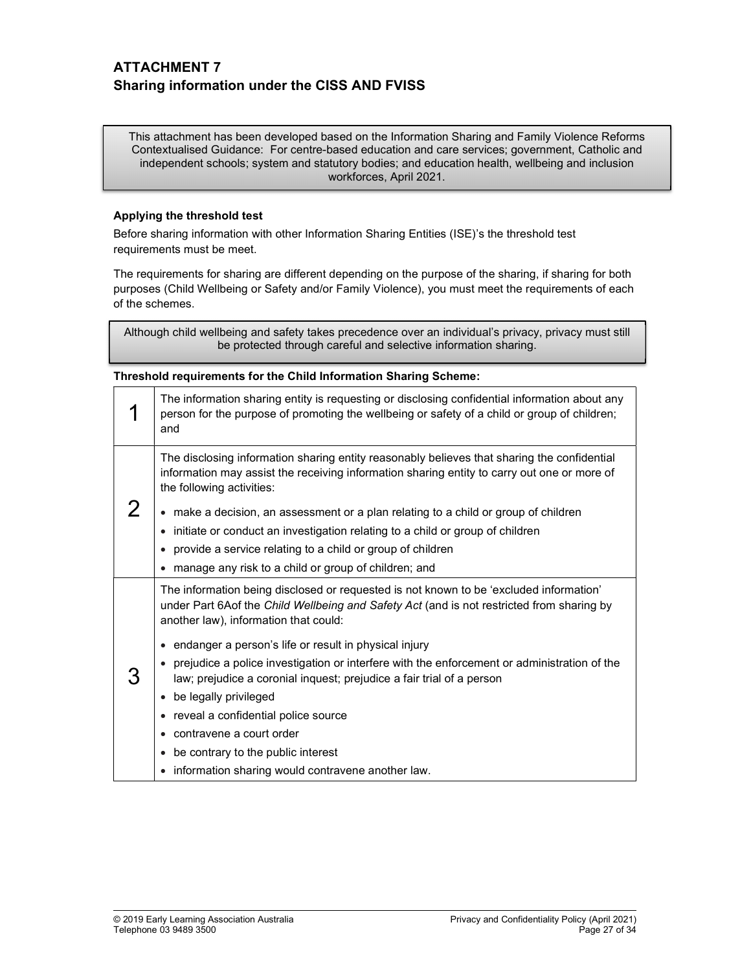# ATTACHMENT 7 Sharing information under the CISS AND FVISS

This attachment has been developed based on the Information Sharing and Family Violence Reforms Contextualised Guidance: For centre-based education and care services; government, Catholic and independent schools; system and statutory bodies; and education health, wellbeing and inclusion workforces, April 2021.

### Applying the threshold test

Before sharing information with other Information Sharing Entities (ISE)'s the threshold test requirements must be meet.

The requirements for sharing are different depending on the purpose of the sharing, if sharing for both purposes (Child Wellbeing or Safety and/or Family Violence), you must meet the requirements of each of the schemes.

Although child wellbeing and safety takes precedence over an individual's privacy, privacy must still be protected through careful and selective information sharing.

### Threshold requirements for the Child Information Sharing Scheme:

| The information sharing entity is requesting or disclosing confidential information about any<br>person for the purpose of promoting the wellbeing or safety of a child or group of children;<br>and                                                                                                                                                                                                                                                                                                                                                                                                                                                     |  |
|----------------------------------------------------------------------------------------------------------------------------------------------------------------------------------------------------------------------------------------------------------------------------------------------------------------------------------------------------------------------------------------------------------------------------------------------------------------------------------------------------------------------------------------------------------------------------------------------------------------------------------------------------------|--|
| The disclosing information sharing entity reasonably believes that sharing the confidential<br>information may assist the receiving information sharing entity to carry out one or more of<br>the following activities:<br>• make a decision, an assessment or a plan relating to a child or group of children<br>initiate or conduct an investigation relating to a child or group of children<br>provide a service relating to a child or group of children<br>manage any risk to a child or group of children; and                                                                                                                                    |  |
| The information being disclosed or requested is not known to be 'excluded information'<br>under Part 6Aof the Child Wellbeing and Safety Act (and is not restricted from sharing by<br>another law), information that could:<br>• endanger a person's life or result in physical injury<br>prejudice a police investigation or interfere with the enforcement or administration of the<br>law; prejudice a coronial inquest; prejudice a fair trial of a person<br>be legally privileged<br>reveal a confidential police source<br>• contravene a court order<br>be contrary to the public interest<br>information sharing would contravene another law. |  |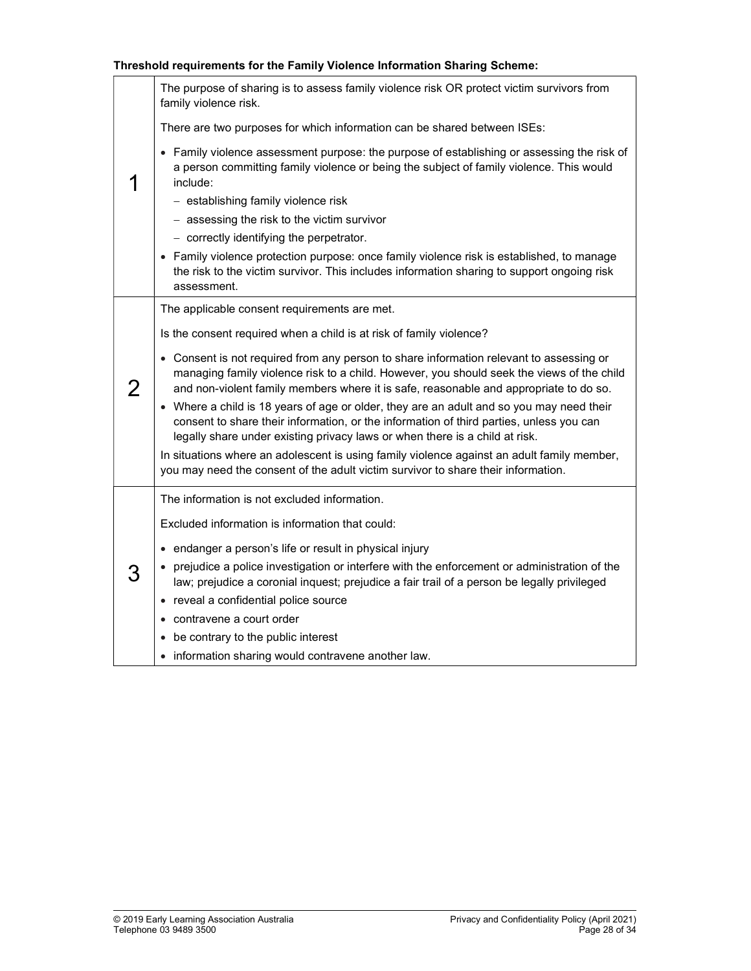### Threshold requirements for the Family Violence Information Sharing Scheme:

|   | The purpose of sharing is to assess family violence risk OR protect victim survivors from<br>family violence risk.                                                                                                                                                            |
|---|-------------------------------------------------------------------------------------------------------------------------------------------------------------------------------------------------------------------------------------------------------------------------------|
|   | There are two purposes for which information can be shared between ISEs:                                                                                                                                                                                                      |
|   | • Family violence assessment purpose: the purpose of establishing or assessing the risk of<br>a person committing family violence or being the subject of family violence. This would<br>include:                                                                             |
|   | - establishing family violence risk                                                                                                                                                                                                                                           |
|   | - assessing the risk to the victim survivor                                                                                                                                                                                                                                   |
|   | - correctly identifying the perpetrator.                                                                                                                                                                                                                                      |
|   | • Family violence protection purpose: once family violence risk is established, to manage<br>the risk to the victim survivor. This includes information sharing to support ongoing risk<br>assessment.                                                                        |
| 2 | The applicable consent requirements are met.                                                                                                                                                                                                                                  |
|   | Is the consent required when a child is at risk of family violence?                                                                                                                                                                                                           |
|   | • Consent is not required from any person to share information relevant to assessing or<br>managing family violence risk to a child. However, you should seek the views of the child<br>and non-violent family members where it is safe, reasonable and appropriate to do so. |
|   | • Where a child is 18 years of age or older, they are an adult and so you may need their<br>consent to share their information, or the information of third parties, unless you can<br>legally share under existing privacy laws or when there is a child at risk.            |
|   | In situations where an adolescent is using family violence against an adult family member,<br>you may need the consent of the adult victim survivor to share their information.                                                                                               |
|   | The information is not excluded information.                                                                                                                                                                                                                                  |
|   | Excluded information is information that could:                                                                                                                                                                                                                               |
|   | • endanger a person's life or result in physical injury                                                                                                                                                                                                                       |
|   | • prejudice a police investigation or interfere with the enforcement or administration of the<br>law; prejudice a coronial inquest; prejudice a fair trail of a person be legally privileged                                                                                  |
|   | • reveal a confidential police source                                                                                                                                                                                                                                         |
|   | contravene a court order                                                                                                                                                                                                                                                      |
|   | • be contrary to the public interest                                                                                                                                                                                                                                          |
|   | • information sharing would contravene another law.                                                                                                                                                                                                                           |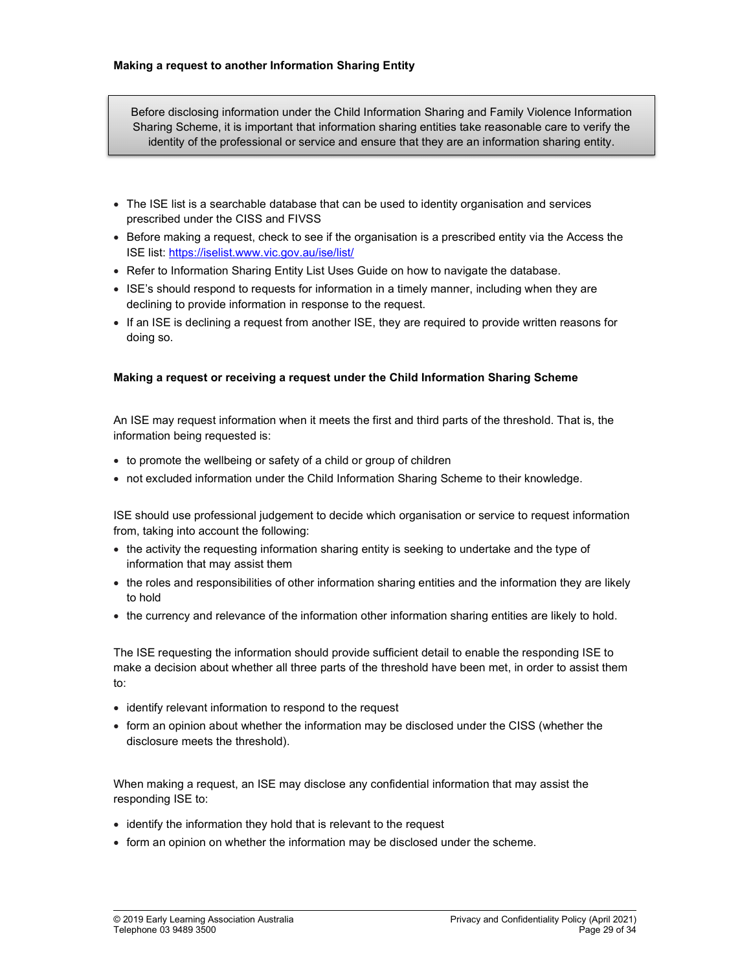Before disclosing information under the Child Information Sharing and Family Violence Information Sharing Scheme, it is important that information sharing entities take reasonable care to verify the identity of the professional or service and ensure that they are an information sharing entity.

- The ISE list is a searchable database that can be used to identity organisation and services prescribed under the CISS and FIVSS
- Before making a request, check to see if the organisation is a prescribed entity via the Access the ISE list: https://iselist.www.vic.gov.au/ise/list/
- Refer to Information Sharing Entity List Uses Guide on how to navigate the database.
- ISE's should respond to requests for information in a timely manner, including when they are declining to provide information in response to the request.
- If an ISE is declining a request from another ISE, they are required to provide written reasons for doing so.

### Making a request or receiving a request under the Child Information Sharing Scheme

An ISE may request information when it meets the first and third parts of the threshold. That is, the information being requested is:

- to promote the wellbeing or safety of a child or group of children
- not excluded information under the Child Information Sharing Scheme to their knowledge.

ISE should use professional judgement to decide which organisation or service to request information from, taking into account the following:

- the activity the requesting information sharing entity is seeking to undertake and the type of information that may assist them
- the roles and responsibilities of other information sharing entities and the information they are likely to hold
- the currency and relevance of the information other information sharing entities are likely to hold.

The ISE requesting the information should provide sufficient detail to enable the responding ISE to make a decision about whether all three parts of the threshold have been met, in order to assist them to:

- identify relevant information to respond to the request
- form an opinion about whether the information may be disclosed under the CISS (whether the disclosure meets the threshold).

When making a request, an ISE may disclose any confidential information that may assist the responding ISE to:

- identify the information they hold that is relevant to the request
- form an opinion on whether the information may be disclosed under the scheme.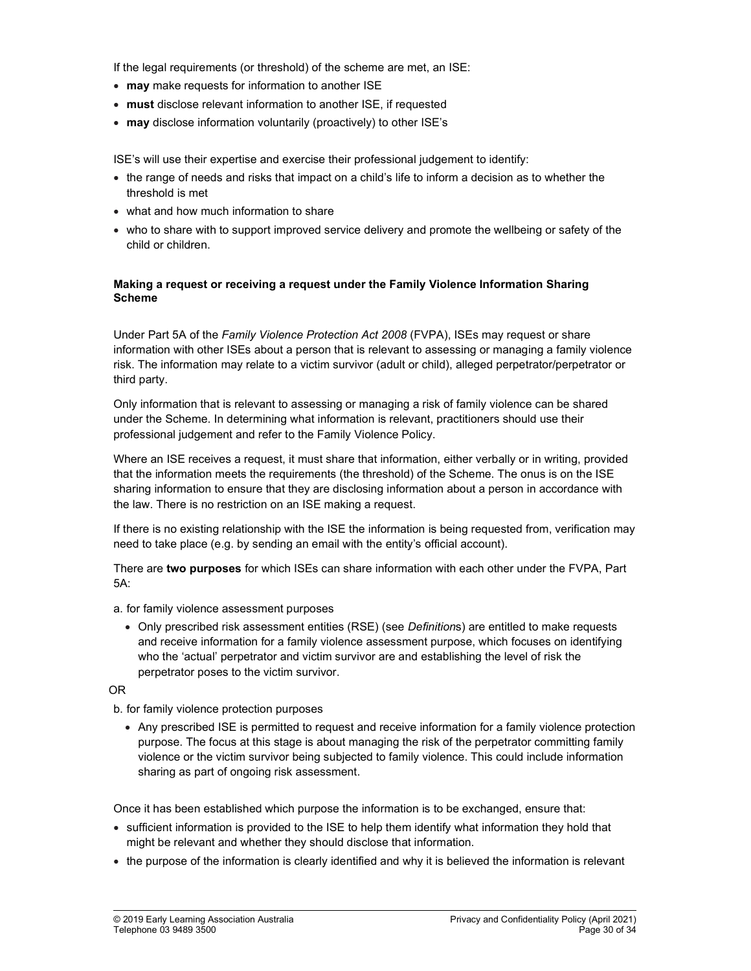If the legal requirements (or threshold) of the scheme are met, an ISE:

- may make requests for information to another ISE
- must disclose relevant information to another ISE, if requested
- may disclose information voluntarily (proactively) to other ISE's

ISE's will use their expertise and exercise their professional judgement to identify:

- the range of needs and risks that impact on a child's life to inform a decision as to whether the threshold is met
- what and how much information to share
- who to share with to support improved service delivery and promote the wellbeing or safety of the child or children.

### Making a request or receiving a request under the Family Violence Information Sharing Scheme

Under Part 5A of the Family Violence Protection Act 2008 (FVPA), ISEs may request or share information with other ISEs about a person that is relevant to assessing or managing a family violence risk. The information may relate to a victim survivor (adult or child), alleged perpetrator/perpetrator or third party.

Only information that is relevant to assessing or managing a risk of family violence can be shared under the Scheme. In determining what information is relevant, practitioners should use their professional judgement and refer to the Family Violence Policy.

Where an ISE receives a request, it must share that information, either verbally or in writing, provided that the information meets the requirements (the threshold) of the Scheme. The onus is on the ISE sharing information to ensure that they are disclosing information about a person in accordance with the law. There is no restriction on an ISE making a request.

If there is no existing relationship with the ISE the information is being requested from, verification may need to take place (e.g. by sending an email with the entity's official account).

There are two purposes for which ISEs can share information with each other under the FVPA, Part 5A:

- a. for family violence assessment purposes
	- Only prescribed risk assessment entities (RSE) (see *Definitions*) are entitled to make requests and receive information for a family violence assessment purpose, which focuses on identifying who the 'actual' perpetrator and victim survivor are and establishing the level of risk the perpetrator poses to the victim survivor.

OR

b. for family violence protection purposes

 Any prescribed ISE is permitted to request and receive information for a family violence protection purpose. The focus at this stage is about managing the risk of the perpetrator committing family violence or the victim survivor being subjected to family violence. This could include information sharing as part of ongoing risk assessment.

Once it has been established which purpose the information is to be exchanged, ensure that:

- sufficient information is provided to the ISE to help them identify what information they hold that might be relevant and whether they should disclose that information.
- the purpose of the information is clearly identified and why it is believed the information is relevant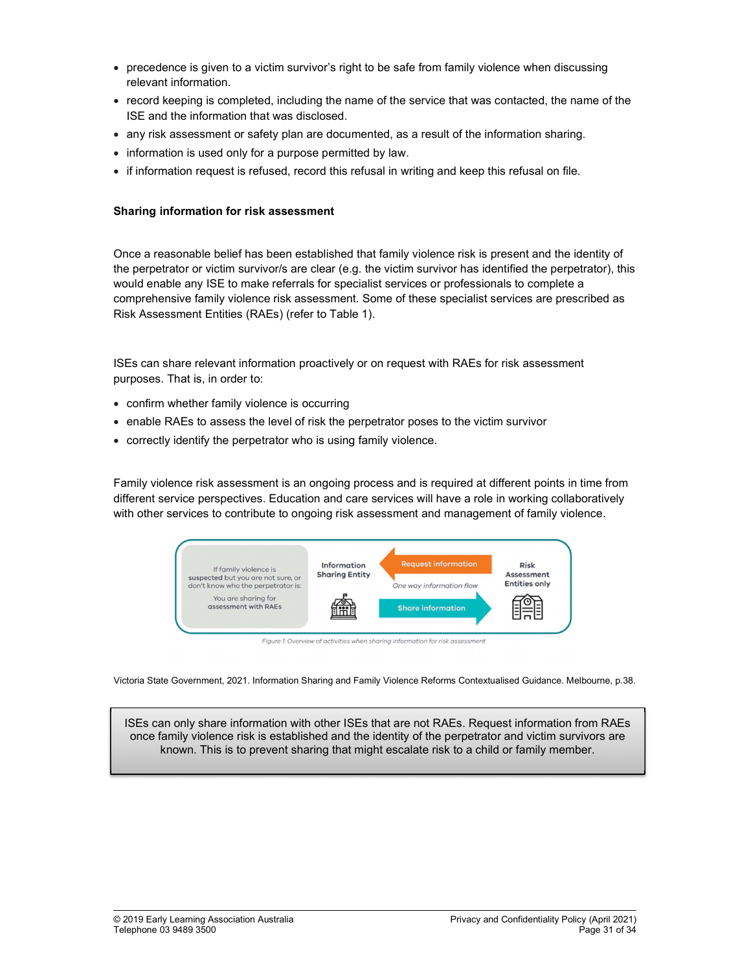- precedence is given to a victim survivor's right to be safe from family violence when discussing relevant information.
- record keeping is completed, including the name of the service that was contacted, the name of the ISE and the information that was disclosed.
- any risk assessment or safety plan are documented, as a result of the information sharing.
- information is used only for a purpose permitted by law.
- if information request is refused, record this refusal in writing and keep this refusal on file.

### Sharing information for risk assessment

Once a reasonable belief has been established that family violence risk is present and the identity of the perpetrator or victim survivor/s are clear (e.g. the victim survivor has identified the perpetrator), this would enable any ISE to make referrals for specialist services or professionals to complete a comprehensive family violence risk assessment. Some of these specialist services are prescribed as Risk Assessment Entities (RAEs) (refer to Table 1).

ISEs can share relevant information proactively or on request with RAEs for risk assessment purposes. That is, in order to:

- confirm whether family violence is occurring
- enable RAEs to assess the level of risk the perpetrator poses to the victim survivor
- correctly identify the perpetrator who is using family violence.

Family violence risk assessment is an ongoing process and is required at different points in time from different service perspectives. Education and care services will have a role in working collaboratively with other services to contribute to ongoing risk assessment and management of family violence.



Figure 1: Overview of activities when sharing information for risk assessment

Victoria State Government, 2021. Information Sharing and Family Violence Reforms Contextualised Guidance. Melbourne, p.38.

ISEs can only share information with other ISEs that are not RAEs. Request information from RAEs once family violence risk is established and the identity of the perpetrator and victim survivors are known. This is to prevent sharing that might escalate risk to a child or family member.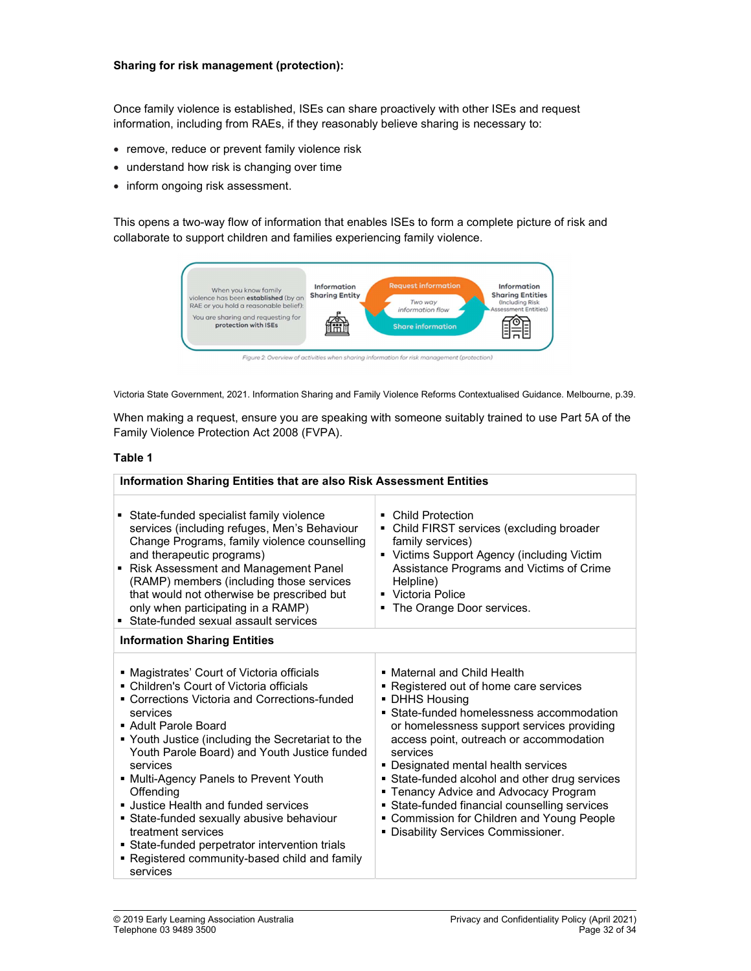### Sharing for risk management (protection):

Once family violence is established, ISEs can share proactively with other ISEs and request information, including from RAEs, if they reasonably believe sharing is necessary to:

- remove, reduce or prevent family violence risk
- understand how risk is changing over time
- inform ongoing risk assessment.

This opens a two-way flow of information that enables ISEs to form a complete picture of risk and collaborate to support children and families experiencing family violence.



Victoria State Government, 2021. Information Sharing and Family Violence Reforms Contextualised Guidance. Melbourne, p.39.

When making a request, ensure you are speaking with someone suitably trained to use Part 5A of the Family Violence Protection Act 2008 (FVPA).

#### Table 1

| Information Sharing Entities that are also Risk Assessment Entities                                                                                                                                                                                                                                                                                                                                                                                                                                                                                                              |                                                                                                                                                                                                                                                                                                                                                                                                                                                                                                                 |  |  |  |
|----------------------------------------------------------------------------------------------------------------------------------------------------------------------------------------------------------------------------------------------------------------------------------------------------------------------------------------------------------------------------------------------------------------------------------------------------------------------------------------------------------------------------------------------------------------------------------|-----------------------------------------------------------------------------------------------------------------------------------------------------------------------------------------------------------------------------------------------------------------------------------------------------------------------------------------------------------------------------------------------------------------------------------------------------------------------------------------------------------------|--|--|--|
| State-funded specialist family violence<br>services (including refuges, Men's Behaviour<br>Change Programs, family violence counselling<br>and therapeutic programs)<br>Risk Assessment and Management Panel<br>(RAMP) members (including those services<br>that would not otherwise be prescribed but<br>only when participating in a RAMP)<br>■ State-funded sexual assault services                                                                                                                                                                                           | • Child Protection<br>• Child FIRST services (excluding broader<br>family services)<br>• Victims Support Agency (including Victim<br>Assistance Programs and Victims of Crime<br>Helpline)<br>• Victoria Police<br>The Orange Door services.                                                                                                                                                                                                                                                                    |  |  |  |
| <b>Information Sharing Entities</b>                                                                                                                                                                                                                                                                                                                                                                                                                                                                                                                                              |                                                                                                                                                                                                                                                                                                                                                                                                                                                                                                                 |  |  |  |
| ■ Magistrates' Court of Victoria officials<br>• Children's Court of Victoria officials<br>■ Corrections Victoria and Corrections-funded<br>services<br>■ Adult Parole Board<br>■ Youth Justice (including the Secretariat to the<br>Youth Parole Board) and Youth Justice funded<br>services<br>■ Multi-Agency Panels to Prevent Youth<br>Offending<br><b>Justice Health and funded services</b><br>State-funded sexually abusive behaviour<br>treatment services<br>• State-funded perpetrator intervention trials<br>■ Registered community-based child and family<br>services | • Maternal and Child Health<br>• Registered out of home care services<br>• DHHS Housing<br>• State-funded homelessness accommodation<br>or homelessness support services providing<br>access point, outreach or accommodation<br>services<br>• Designated mental health services<br>State-funded alcohol and other drug services<br>• Tenancy Advice and Advocacy Program<br>• State-funded financial counselling services<br>• Commission for Children and Young People<br>• Disability Services Commissioner. |  |  |  |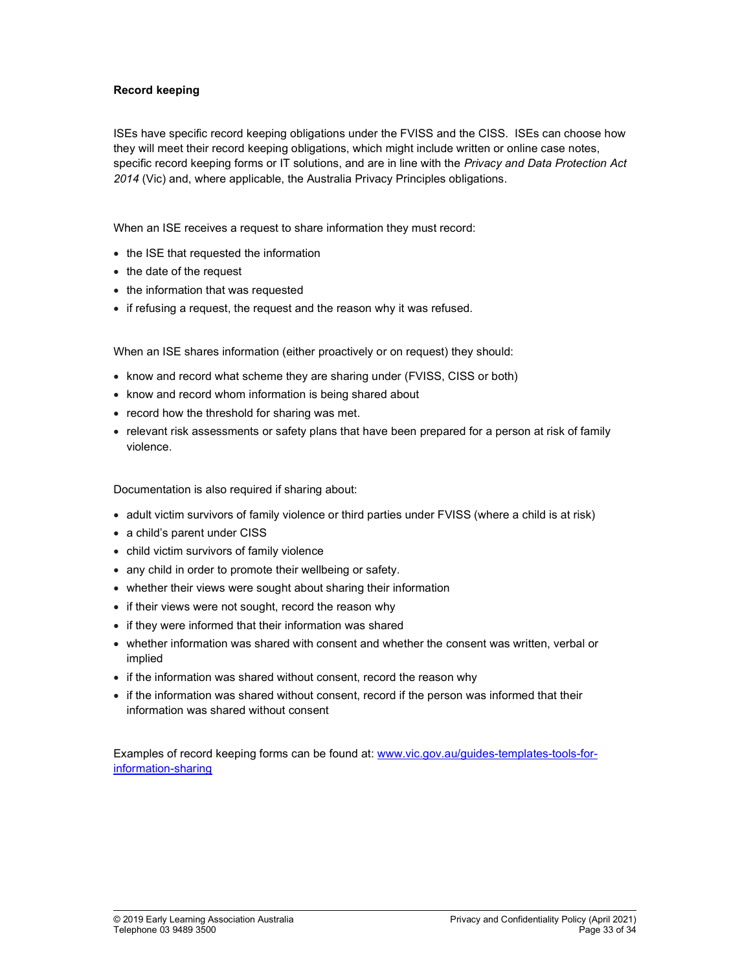### Record keeping

ISEs have specific record keeping obligations under the FVISS and the CISS. ISEs can choose how they will meet their record keeping obligations, which might include written or online case notes, specific record keeping forms or IT solutions, and are in line with the Privacy and Data Protection Act 2014 (Vic) and, where applicable, the Australia Privacy Principles obligations.

When an ISE receives a request to share information they must record:

- the ISE that requested the information
- the date of the request
- the information that was requested
- if refusing a request, the request and the reason why it was refused.

When an ISE shares information (either proactively or on request) they should:

- know and record what scheme they are sharing under (FVISS, CISS or both)
- know and record whom information is being shared about
- record how the threshold for sharing was met.
- relevant risk assessments or safety plans that have been prepared for a person at risk of family violence.

Documentation is also required if sharing about:

- adult victim survivors of family violence or third parties under FVISS (where a child is at risk)
- a child's parent under CISS
- child victim survivors of family violence
- any child in order to promote their wellbeing or safety.
- whether their views were sought about sharing their information
- if their views were not sought, record the reason why
- if they were informed that their information was shared
- whether information was shared with consent and whether the consent was written, verbal or implied
- if the information was shared without consent, record the reason why
- if the information was shared without consent, record if the person was informed that their information was shared without consent

Examples of record keeping forms can be found at: www.vic.gov.au/guides-templates-tools-forinformation-sharing